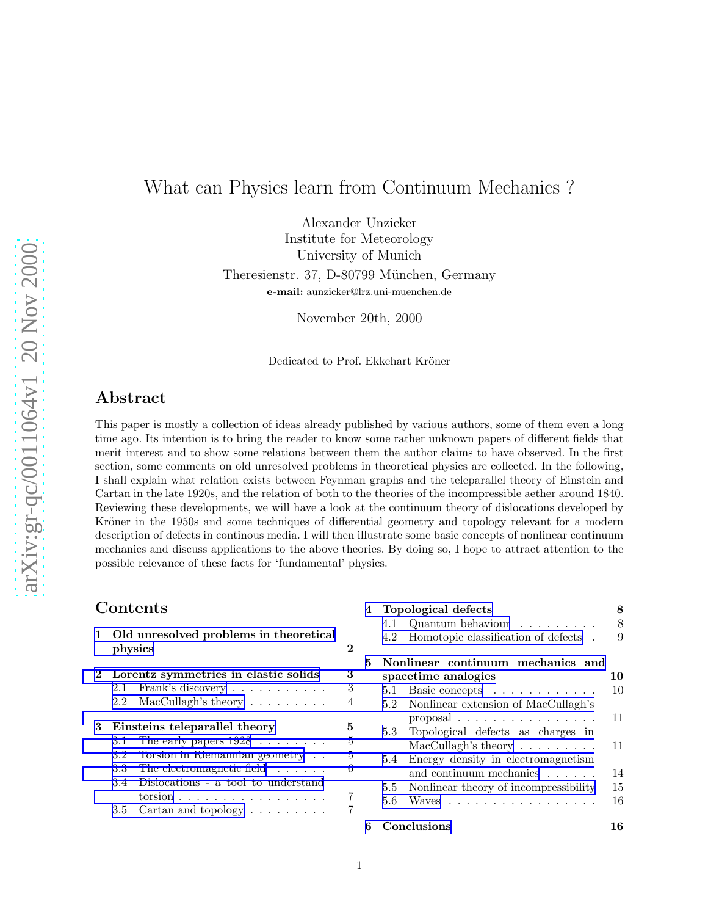# What can Physics learn from Continuum Mechanics ?

Alexander Unzicker Institute for Meteorology University of Munich Theresienstr. 37, D-80799 München, Germany e-mail: aunzicker@lrz.uni-muenchen.de

November 20th, 2000

Dedicated to Prof. Ekkehart Kröner

# Abstract

This paper is mostly a collection of ideas already published by various authors, some of them even a long time ago. Its intention is to bring the reader to know some rather unknown papers of different fields that merit interest and to show some relations between them the author claims to have observed. In the first section, some comments on old unresolved problems in theoretical physics are collected. In the following, I shall explain what relation exists between Feynman graphs and the teleparallel theory of Einstein and Cartan in the late 1920s, and the relation of both to the theories of the incompressible aether around 1840. Reviewing these developments, we will have a look at the continuum theory of dislocations developed by Kröner in the 1950s and some techniques of differential geometry and topology relevant for a modern description of defects in continous media. I will then illustrate some basic concepts of nonlinear continuum mechanics and discuss applications to the above theories. By doing so, I hope to attract attention to the possible relevance of these facts for 'fundamental' physics.

## Contents

|            | 1 Old unresolved problems in theoretical<br>physics |                                                               |        |  |  |  |  |  |  |  |  |  |
|------------|-----------------------------------------------------|---------------------------------------------------------------|--------|--|--|--|--|--|--|--|--|--|
| $\bf{2}^-$ |                                                     | Lorentz symmetries in elastic solids<br>2.1 Frank's discovery | 3<br>3 |  |  |  |  |  |  |  |  |  |
|            |                                                     | 2.2 MacCullagh's theory $\ldots \ldots \ldots$                | 4      |  |  |  |  |  |  |  |  |  |
| 3          |                                                     | Einsteins teleparallel theory                                 | 5      |  |  |  |  |  |  |  |  |  |
|            | 3.1                                                 | The early papers $1928 \ldots \ldots$                         | 5      |  |  |  |  |  |  |  |  |  |
|            |                                                     | 3.2 Torsion in Riemannian geometry                            | 5      |  |  |  |  |  |  |  |  |  |
|            |                                                     | 3.3 The electromagnetic field                                 | 6      |  |  |  |  |  |  |  |  |  |
|            | 3.4                                                 | Dislocations - a tool to understand                           |        |  |  |  |  |  |  |  |  |  |
|            |                                                     | torsion                                                       | 7      |  |  |  |  |  |  |  |  |  |
|            |                                                     | 3.5 Cartan and topology $\dots \dots$                         | 7      |  |  |  |  |  |  |  |  |  |

| 4  |     | Topological defects                                    | 8  |
|----|-----|--------------------------------------------------------|----|
|    | 4.1 | Quantum behaviour                                      | 8  |
|    |     | 4.2 Homotopic classification of defects.               | 9  |
| 5. |     | Nonlinear continuum mechanics and                      |    |
|    |     | spacetime analogies                                    | 10 |
|    | 5.1 | Basic concepts                                         | 10 |
|    |     | 5.2 Nonlinear extension of MacCullagh's                |    |
|    |     | $\alpha$ proposal $\ldots \ldots \ldots \ldots \ldots$ | 11 |
|    |     | 5.3 Topological defects as charges in                  |    |
|    |     | $MacCullagh's theory \ldots \ldots \ldots$             | 11 |
|    | 5.4 | Energy density in electromagnetism                     |    |
|    |     | and continuum mechanics                                | 14 |
|    | 5.5 | Nonlinear theory of incompressibility                  | 15 |
|    | 5.6 | Waves                                                  | 16 |
| 6  |     | Conclusions                                            | 16 |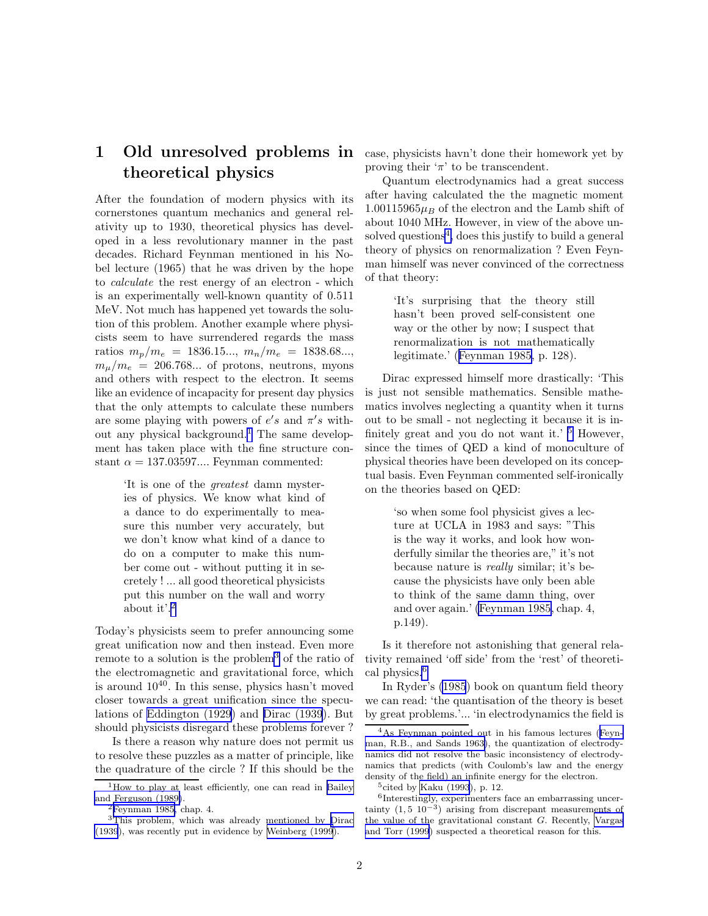# <span id="page-1-0"></span>1 Old unresolved problems in theoretical physics

After the foundation of modern physics with its cornerstones quantum mechanics and general relativity up to 1930, theoretical physics has developed in a less revolutionary manner in the past decades. Richard Feynman mentioned in his Nobel lecture (1965) that he was driven by the hope to *calculate* the rest energy of an electron - which is an experimentally well-known quantity of 0.511 MeV. Not much has happened yet towards the solution of this problem. Another example where physicists seem to have surrendered regards the mass ratios  $m_p/m_e = 1836.15...$ ,  $m_n/m_e = 1838.68...$  $m_u/m_e = 206.768...$  of protons, neutrons, myons and others with respect to the electron. It seems like an evidence of incapacity for present day physics that the only attempts to calculate these numbers are some playing with powers of  $e's$  and  $\pi's$  without any physical background.<sup>1</sup> The same development has taken place with the fine structure constant  $\alpha = 137.03597...$  Feynman commented:

> 'It is one of the *greatest* damn mysteries of physics. We know what kind of a dance to do experimentally to measure this number very accurately, but we don't know what kind of a dance to do on a computer to make this number come out - without putting it in secretely ! ... all good theoretical physicists put this number on the wall and worry about it'.<sup>2</sup>

Today's physicists seem to prefer announcing some great unification now and then instead. Even more remote to a solution is the problem<sup>3</sup> of the ratio of the electromagnetic and gravitational force, which is around  $10^{40}$ . In this sense, physics hasn't moved closer towards a great unification since the speculations of [Eddington \(1929](#page-16-0)) and [Dirac \(1939](#page-16-0)). But should physicists disregard these problems forever ?

Is there a reason why nature does not permit us to resolve these puzzles as a matter of principle, like the quadrature of the circle ? If this should be the case, physicists havn't done their homework yet by proving their ' $\pi$ ' to be transcendent.

Quantum electrodynamics had a great success after having calculated the the magnetic moment  $1.00115965\mu_B$  of the electron and the Lamb shift of about 1040 MHz. However, in view of the above unsolved questions<sup>4</sup>, does this justify to build a general theory of physics on renormalization ? Even Feynman himself was never convinced of the correctness of that theory:

> 'It's surprising that the theory still hasn't been proved self-consistent one way or the other by now; I suspect that renormalization is not mathematically legitimate.' ([Feynman 1985,](#page-17-0) p. 128).

Dirac expressed himself more drastically: 'This is just not sensible mathematics. Sensible mathematics involves neglecting a quantity when it turns out to be small - not neglecting it because it is infinitely great and you do not want it.'  $5$  However, since the times of QED a kind of monoculture of physical theories have been developed on its conceptual basis. Even Feynman commented self-ironically on the theories based on QED:

> 'so when some fool physicist gives a lecture at UCLA in 1983 and says: "This is the way it works, and look how wonderfully similar the theories are," it's not because nature is *really* similar; it's because the physicists have only been able to think of the same damn thing, over and over again.' [\(Feynman 1985,](#page-17-0) chap. 4, p.149).

Is it therefore not astonishing that general relativity remained 'off side' from the 'rest' of theoretical physics.<sup>6</sup>

In Ryder's [\(1985](#page-18-0)) book on quantum field theory we can read: 'the quantisation of the theory is beset by great problems.'... 'in electrodynamics the field is

<sup>&</sup>lt;sup>1</sup>How to play at least efficiently, one can read in [Bailey](#page-16-0) [and Ferguson \(1989\)](#page-16-0).

 ${}^{2}$ [Feynman 1985,](#page-17-0) chap. 4.

<sup>3</sup>This problem, which was already mentioned by [Dirac](#page-16-0) [\(1939](#page-16-0)), was recently put in evidence by [Weinberg \(1999](#page-18-0)).

<sup>4</sup>As Feynman pointed out in his famous lectures ([Feyn](#page-17-0)[man, R.B., and Sands 1963\)](#page-17-0), the quantization of electrodynamics did not resolve the basic inconsistency of electrodynamics that predicts (with Coulomb's law and the energy density of the field) an infinite energy for the electron.

 $5$ cited by [Kaku \(1993](#page-17-0)), p. 12.

<sup>6</sup> Interestingly, experimenters face an embarrassing uncertainty  $(1, 5 \ 10^{-3})$  arising from discrepant measurements of the value of the gravitational constant G. Recently, [Vargas](#page-18-0) [and Torr \(1999](#page-18-0)) suspected a theoretical reason for this.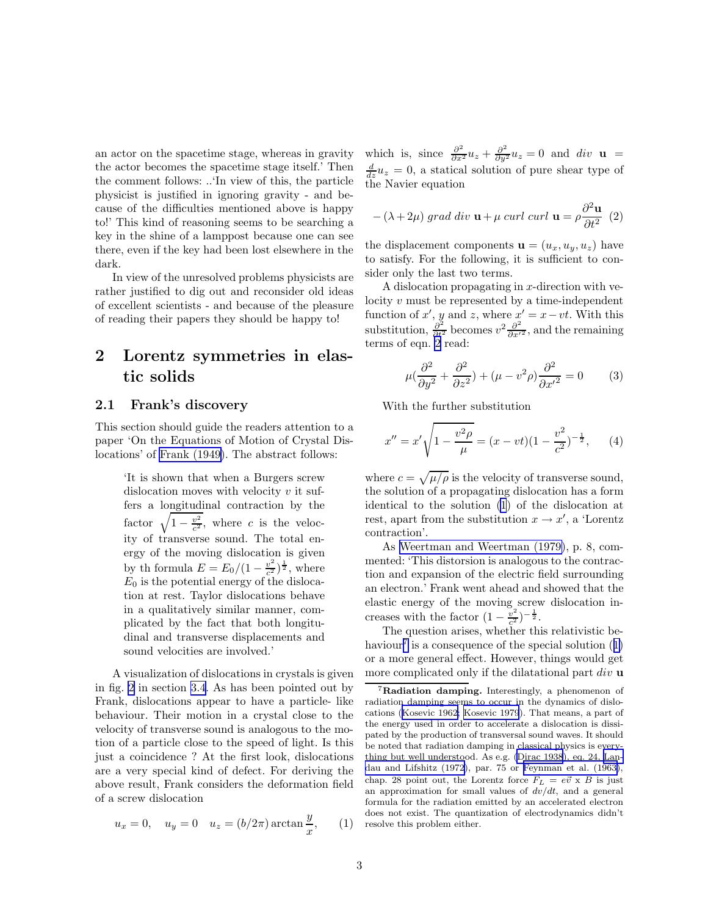<span id="page-2-0"></span>an actor on the spacetime stage, whereas in gravity the actor becomes the spacetime stage itself.' Then the comment follows: ..'In view of this, the particle physicist is justified in ignoring gravity - and because of the difficulties mentioned above is happy to!' This kind of reasoning seems to be searching a key in the shine of a lamppost because one can see there, even if the key had been lost elsewhere in the dark.

In view of the unresolved problems physicists are rather justified to dig out and reconsider old ideas of excellent scientists - and because of the pleasure of reading their papers they should be happy to!

# 2 Lorentz symmetries in elastic solids

### 2.1 Frank's discovery

This section should guide the readers attention to a paper 'On the Equations of Motion of Crystal Dislocations' of [Frank \(1949\)](#page-17-0). The abstract follows:

> 'It is shown that when a Burgers screw dislocation moves with velocity  $v$  it suffers a longitudinal contraction by the factor  $\sqrt{1-\frac{v^2}{c^2}}$ , where c is the velocity of transverse sound. The total energy of the moving dislocation is given by th formula  $E = E_0/(1 - \frac{v^2}{c^2})$  $\frac{v^2}{c^2}$ )<sup> $\frac{1}{2}$ </sup>, where  $E_0$  is the potential energy of the dislocation at rest. Taylor dislocations behave in a qualitatively similar manner, complicated by the fact that both longitudinal and transverse displacements and sound velocities are involved.'

A visualization of dislocations in crystals is given in fig. [2](#page-6-0) in section [3.4.](#page-6-0) As has been pointed out by Frank, dislocations appear to have a particle- like behaviour. Their motion in a crystal close to the velocity of transverse sound is analogous to the motion of a particle close to the speed of light. Is this just a coincidence ? At the first look, dislocations are a very special kind of defect. For deriving the above result, Frank considers the deformation field of a screw dislocation

$$
u_x = 0, \quad u_y = 0 \quad u_z = (b/2\pi) \arctan\frac{y}{x}, \qquad (1)
$$

which is, since  $\frac{\partial^2}{\partial x^2}u_z + \frac{\partial^2}{\partial y^2}u_z = 0$  and  $div \mathbf{u} =$  $\frac{d}{dz}u_z=0$ , a statical solution of pure shear type of the Navier equation

$$
-(\lambda+2\mu) grad \ div \mathbf{u} + \mu \ curl \ curl \mathbf{u} = \rho \frac{\partial^2 \mathbf{u}}{\partial t^2} (2)
$$

the displacement components  $\mathbf{u} = (u_x, u_y, u_z)$  have to satisfy. For the following, it is sufficient to consider only the last two terms.

A dislocation propagating in  $x$ -direction with velocity v must be represented by a time-independent function of x', y and z, where  $x' = x - vt$ . With this substitution,  $\frac{\partial^2}{\partial t^2}$  becomes  $v^2 \frac{\partial^2}{\partial x'^2}$ , and the remaining terms of eqn.  $2$  read:

$$
\mu(\frac{\partial^2}{\partial y^2} + \frac{\partial^2}{\partial z^2}) + (\mu - v^2 \rho) \frac{\partial^2}{\partial x'^2} = 0 \tag{3}
$$

With the further substitution

$$
x'' = x' \sqrt{1 - \frac{v^2 \rho}{\mu}} = (x - vt)(1 - \frac{v^2}{c^2})^{-\frac{1}{2}}, \quad (4)
$$

where  $c = \sqrt{\mu/\rho}$  is the velocity of transverse sound, the solution of a propagating dislocation has a form identical to the solution (1) of the dislocation at rest, apart from the substitution  $x \to x'$ , a 'Lorentz contraction'.

As [Weertman and Weertman \(1979\)](#page-18-0), p. 8, commented: 'This distorsion is analogous to the contraction and expansion of the electric field surrounding an electron.' Frank went ahead and showed that the elastic energy of the moving screw dislocation increases with the factor  $\left(1-\frac{v^2}{c^2}\right)$  $\frac{v^2}{c^2}$ ) –  $\frac{1}{2}$ .

The question arises, whether this relativistic behaviour<sup>7</sup> is a consequence of the special solution  $(1)$ or a more general effect. However, things would get more complicated only if the dilatational part  $div$   ${\bf u}$ 

<sup>&</sup>lt;sup>7</sup>Radiation damping. Interestingly, a phenomenon of radiation damping seems to occur in the dynamics of dislocations ([Kosevic 1962; Kosevic 1979](#page-17-0)). That means, a part of the energy used in order to accelerate a dislocation is dissipated by the production of transversal sound waves. It should be noted that radiation damping in classical physics is everything but well understood. As e.g. [\(Dirac 1938](#page-16-0)), eq. 24, [Lan](#page-17-0)[dau and Lifshitz \(1972\)](#page-17-0), par. 75 or [Feynman et al. \(1963\)](#page-17-0), chap. 28 point out, the Lorentz force  $\vec{F}_L = e\vec{v} \times \vec{B}$  is just an approximation for small values of  $dv/dt$ , and a general formula for the radiation emitted by an accelerated electron does not exist. The quantization of electrodynamics didn't resolve this problem either.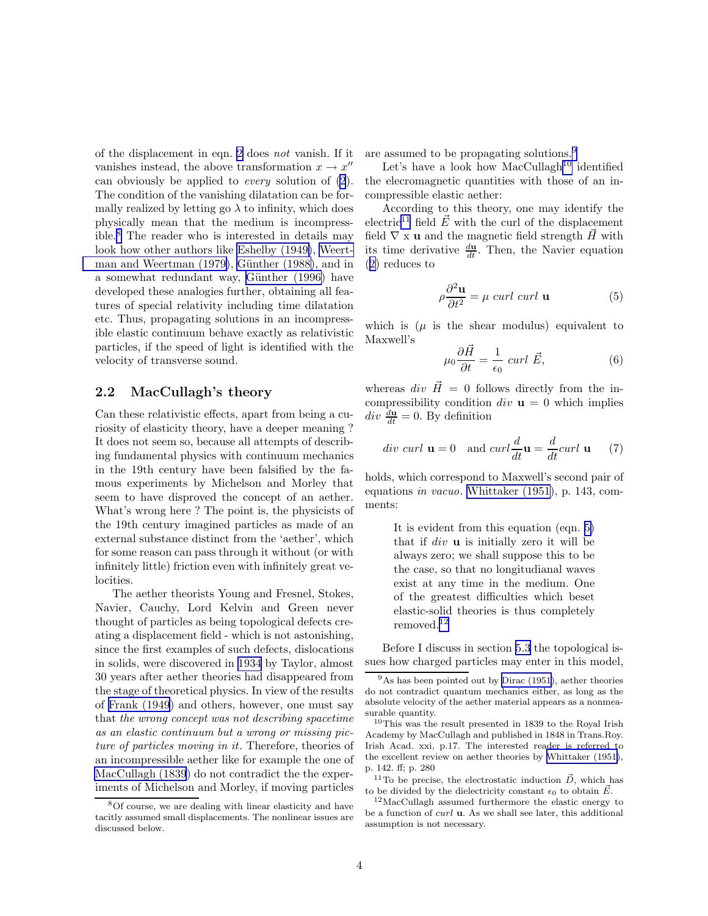<span id="page-3-0"></span>of the displacement in eqn. [2](#page-2-0) does *not* vanish. If it vanishes instead, the above transformation  $x \to x''$ can obviously be applied to *every* solution of [\(2](#page-2-0)). The condition of the vanishing dilatation can be formally realized by letting go  $\lambda$  to infinity, which does physically mean that the medium is incompressible.<sup>8</sup> The reader who is interested in details may look how other authors like [Eshelby \(1949\)](#page-17-0), [Weert](#page-18-0)man and Weertman  $(1979)$ , Günther  $(1988)$ , and in a somewhat redundant way, Günther (1996) have developed these analogies further, obtaining all features of special relativity including time dilatation etc. Thus, propagating solutions in an incompressible elastic continuum behave exactly as relativistic particles, if the speed of light is identified with the velocity of transverse sound.

### 2.2 MacCullagh's theory

Can these relativistic effects, apart from being a curiosity of elasticity theory, have a deeper meaning ? It does not seem so, because all attempts of describing fundamental physics with continuum mechanics in the 19th century have been falsified by the famous experiments by Michelson and Morley that seem to have disproved the concept of an aether. What's wrong here ? The point is, the physicists of the 19th century imagined particles as made of an external substance distinct from the 'aether', which for some reason can pass through it without (or with infinitely little) friction even with infinitely great velocities.

The aether theorists Young and Fresnel, Stokes, Navier, Cauchy, Lord Kelvin and Green never thought of particles as being topological defects creating a displacement field - which is not astonishing, since the first examples of such defects, dislocations in solids, were discovered in [1934](#page-18-0) by Taylor, almost 30 years after aether theories had disappeared from the stage of theoretical physics. In view of the results of [Frank \(1949](#page-17-0)) and others, however, one must say that *the wrong concept was not describing spacetime as an elastic continuum but a wrong or missing picture of particles moving in it*. Therefore, theories of an incompressible aether like for example the one of [MacCullagh \(1839](#page-17-0)) do not contradict the the experiments of Michelson and Morley, if moving particles

are assumed to be propagating solutions.<sup>9</sup>

Let's have a look how  $MacCullagh<sup>10</sup>$  identified the elecromagnetic quantities with those of an incompressible elastic aether:

According to this theory, one may identify the electric<sup>11</sup> field  $\vec{E}$  with the curl of the displacement field  $\nabla$  x **u** and the magnetic field strength  $\vec{H}$  with its time derivative  $\frac{d\mathbf{u}}{dt}$ . Then, the Navier equation ([2\)](#page-2-0) reduces to

$$
\rho \frac{\partial^2 \mathbf{u}}{\partial t^2} = \mu \ \text{curl curl } \mathbf{u} \tag{5}
$$

which is  $(\mu)$  is the shear modulus) equivalent to Maxwell's

$$
\mu_0 \frac{\partial \vec{H}}{\partial t} = \frac{1}{\epsilon_0} \operatorname{curl} \vec{E},\tag{6}
$$

whereas div  $\vec{H} = 0$  follows directly from the incompressibility condition  $div \mathbf{u} = 0$  which implies  $div \frac{d\mathbf{u}}{dt} = 0$ . By definition

$$
div curl \mathbf{u} = 0 \quad \text{and } curl \frac{d}{dt} \mathbf{u} = \frac{d}{dt} curl \mathbf{u} \qquad (7)
$$

holds, which correspond to Maxwell's second pair of equations *in vacuo*. [Whittaker \(1951\)](#page-18-0), p. 143, comments:

> It is evident from this equation (eqn. 5) that if  $div$  **u** is initially zero it will be always zero; we shall suppose this to be the case, so that no longitudianal waves exist at any time in the medium. One of the greatest difficulties which beset elastic-solid theories is thus completely removed.<sup>12</sup>

Before I discuss in section [5.3](#page-10-0) the topological issues how charged particles may enter in this model,

<sup>11</sup>To be precise, the electrostatic induction  $\vec{D}$ , which has to be divided by the dielectricity constant  $\epsilon_0$  to obtain  $\vec{E}$ .

<sup>12</sup>MacCullagh assumed furthermore the elastic energy to be a function of  $curl$  **u**. As we shall see later, this additional assumption is not necessary.

<sup>8</sup>Of course, we are dealing with linear elasticity and have tacitly assumed small displacements. The nonlinear issues are discussed below.

 $9$ As has been pointed out by [Dirac \(1951\)](#page-16-0), aether theories do not contradict quantum mechanics either, as long as the absolute velocity of the aether material appears as a nonmeasurable quantity.

 $10$ This was the result presented in 1839 to the Royal Irish Academy by MacCullagh and published in 1848 in Trans.Roy. Irish Acad. xxi, p.17. The interested reader is referred to the excellent review on aether theories by [Whittaker \(1951\)](#page-18-0), p. 142. ff; p. 280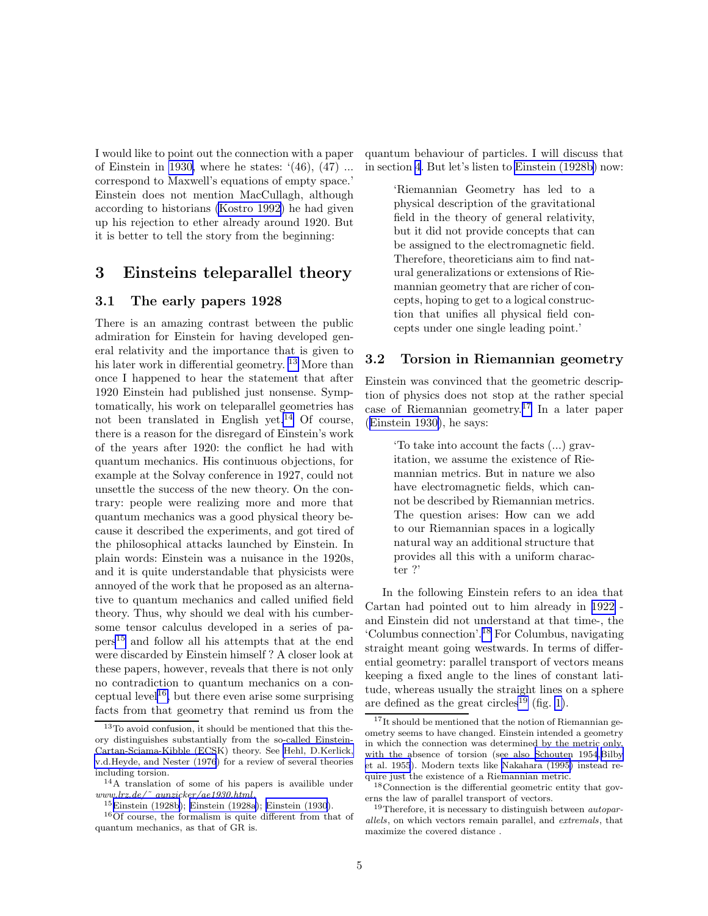<span id="page-4-0"></span>I would like to point out the connection with a paper of Einstein in [1930,](#page-17-0) where he states:  $(46)$ ,  $(47)$  ... correspond to Maxwell's equations of empty space.' Einstein does not mention MacCullagh, although according to historians [\(Kostro 1992\)](#page-17-0) he had given up his rejection to ether already around 1920. But it is better to tell the story from the beginning:

# 3 Einsteins teleparallel theory

#### 3.1 The early papers 1928

There is an amazing contrast between the public admiration for Einstein for having developed general relativity and the importance that is given to his later work in differential geometry.<sup>13</sup> More than once I happened to hear the statement that after 1920 Einstein had published just nonsense. Symptomatically, his work on teleparallel geometries has not been translated in English yet.<sup>14</sup> Of course, there is a reason for the disregard of Einstein's work of the years after 1920: the conflict he had with quantum mechanics. His continuous objections, for example at the Solvay conference in 1927, could not unsettle the success of the new theory. On the contrary: people were realizing more and more that quantum mechanics was a good physical theory because it described the experiments, and got tired of the philosophical attacks launched by Einstein. In plain words: Einstein was a nuisance in the 1920s, and it is quite understandable that physicists were annoyed of the work that he proposed as an alternative to quantum mechanics and called unified field theory. Thus, why should we deal with his cumbersome tensor calculus developed in a series of papers<sup>15</sup> and follow all his attempts that at the end were discarded by Einstein himself ? A closer look at these papers, however, reveals that there is not only no contradiction to quantum mechanics on a conceptual level<sup>16</sup>, but there even arise some surprising facts from that geometry that remind us from the quantum behaviour of particles. I will discuss that in section [4](#page-7-0). But let's listen to [Einstein \(1928b](#page-17-0)) now:

> 'Riemannian Geometry has led to a physical description of the gravitational field in the theory of general relativity, but it did not provide concepts that can be assigned to the electromagnetic field. Therefore, theoreticians aim to find natural generalizations or extensions of Riemannian geometry that are richer of concepts, hoping to get to a logical construction that unifies all physical field concepts under one single leading point.'

### 3.2 Torsion in Riemannian geometry

Einstein was convinced that the geometric description of physics does not stop at the rather special case of Riemannian geometry.<sup>17</sup> In a later paper ([Einstein 1930\)](#page-17-0), he says:

> 'To take into account the facts (...) gravitation, we assume the existence of Riemannian metrics. But in nature we also have electromagnetic fields, which cannot be described by Riemannian metrics. The question arises: How can we add to our Riemannian spaces in a logically natural way an additional structure that provides all this with a uniform character ?'

In the following Einstein refers to an idea that Cartan had pointed out to him already in [1922](#page-16-0) and Einstein did not understand at that time-, the 'Columbus connection'.<sup>18</sup> For Columbus, navigating straight meant going westwards. In terms of differential geometry: parallel transport of vectors means keeping a fixed angle to the lines of constant latitude, whereas usually the straight lines on a sphere are defined as the great circles<sup>19</sup> (fig. [1\)](#page-5-0).

<sup>13</sup>To avoid confusion, it should be mentioned that this theory distinguishes substantially from the so-called Einstein-Cartan-Sciama-Kibble (ECSK) theory. See [Hehl, D.Kerlick,](#page-17-0) [v.d.Heyde, and Nester \(1976](#page-17-0)) for a review of several theories including torsion.

<sup>14</sup>A translation of some of his papers is availible under www.lrz.de/˜ aunzicker/ae1930.html.

<sup>15</sup>[Einstein \(1928b](#page-17-0)); [Einstein \(1928a](#page-16-0)); [Einstein \(1930](#page-17-0)).

<sup>16</sup>Of course, the formalism is quite different from that of quantum mechanics, as that of GR is.

<sup>&</sup>lt;sup>17</sup>It should be mentioned that the notion of Riemannian geometry seems to have changed. Einstein intended a geometry in which the connection was determined by the metric only, with the absence of torsion (see also [Schouten 1954](#page-18-0),[Bilby](#page-16-0) [et al. 1955](#page-16-0)). Modern texts like [Nakahara \(1995\)](#page-18-0) instead require just the existence of a Riemannian metric.

<sup>18</sup>Connection is the differential geometric entity that governs the law of parallel transport of vectors.

 $19$ Therefore, it is necessary to distinguish between *autopar*allels, on which vectors remain parallel, and extremals, that maximize the covered distance .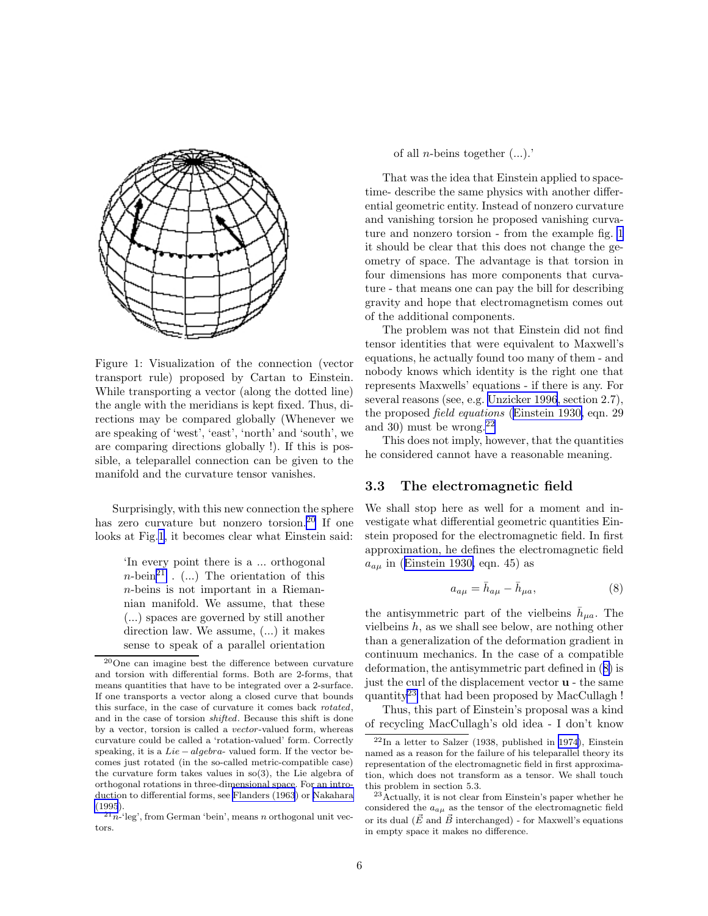<span id="page-5-0"></span>

Figure 1: Visualization of the connection (vector transport rule) proposed by Cartan to Einstein. While transporting a vector (along the dotted line) the angle with the meridians is kept fixed. Thus, directions may be compared globally (Whenever we are speaking of 'west', 'east', 'north' and 'south', we are comparing directions globally !). If this is possible, a teleparallel connection can be given to the manifold and the curvature tensor vanishes.

Surprisingly, with this new connection the sphere has zero curvature but nonzero torsion.<sup>20</sup> If one looks at Fig.1, it becomes clear what Einstein said:

> 'In every point there is a ... orthogonal  $n\text{-}\mathrm{bein}^{21}$ . (...) The orientation of this n-beins is not important in a Riemannian manifold. We assume, that these (...) spaces are governed by still another direction law. We assume, (...) it makes sense to speak of a parallel orientation

 $^{21}n^{-1}$ leg', from German 'bein', means n orthogonal unit vectors.

of all *n*-beins together  $(...).$ 

That was the idea that Einstein applied to spacetime- describe the same physics with another differential geometric entity. Instead of nonzero curvature and vanishing torsion he proposed vanishing curvature and nonzero torsion - from the example fig. 1 it should be clear that this does not change the geometry of space. The advantage is that torsion in four dimensions has more components that curvature - that means one can pay the bill for describing gravity and hope that electromagnetism comes out of the additional components.

The problem was not that Einstein did not find tensor identities that were equivalent to Maxwell's equations, he actually found too many of them - and nobody knows which identity is the right one that represents Maxwells' equations - if there is any. For several reasons (see, e.g. [Unzicker 1996](#page-18-0), section 2.7), the proposed *field equations* ([Einstein 1930,](#page-17-0) eqn. 29 and 30) must be wrong. $^{22}$ 

This does not imply, however, that the quantities he considered cannot have a reasonable meaning.

#### 3.3 The electromagnetic field

We shall stop here as well for a moment and investigate what differential geometric quantities Einstein proposed for the electromagnetic field. In first approximation, he defines the electromagnetic field  $a_{a\mu}$  in ([Einstein 1930,](#page-17-0) eqn. 45) as

$$
a_{a\mu} = \bar{h}_{a\mu} - \bar{h}_{\mu a},\tag{8}
$$

the antisymmetric part of the vielbeins  $\bar{h}_{\mu a}$ . The vielbeins  $h$ , as we shall see below, are nothing other than a generalization of the deformation gradient in continuum mechanics. In the case of a compatible deformation, the antisymmetric part defined in (8) is just the curl of the displacement vector u - the same quantity<sup>23</sup> that had been proposed by MacCullagh !

Thus, this part of Einstein's proposal was a kind of recycling MacCullagh's old idea - I don't know

<sup>20</sup>One can imagine best the difference between curvature and torsion with differential forms. Both are 2-forms, that means quantities that have to be integrated over a 2-surface. If one transports a vector along a closed curve that bounds this surface, in the case of curvature it comes back rotated, and in the case of torsion shifted. Because this shift is done by a vector, torsion is called a vector-valued form, whereas curvature could be called a 'rotation-valued' form. Correctly speaking, it is a  $Lie-algebra$ - valued form. If the vector becomes just rotated (in the so-called metric-compatible case) the curvature form takes values in so(3), the Lie algebra of orthogonal rotations in three-dimensional space. For an introduction to differential forms, see [Flanders \(1963](#page-17-0)) or [Nakahara](#page-18-0) [\(1995](#page-18-0)).

 $22$ In a letter to Salzer (1938, published in [1974\)](#page-18-0), Einstein named as a reason for the failure of his teleparallel theory its representation of the electromagnetic field in first approximation, which does not transform as a tensor. We shall touch this problem in section 5.3.

<sup>23</sup>Actually, it is not clear from Einstein's paper whether he considered the  $a_{a\mu}$  as the tensor of the electromagnetic field or its dual ( $\vec{E}$  and  $\vec{B}$  interchanged) - for Maxwell's equations in empty space it makes no difference.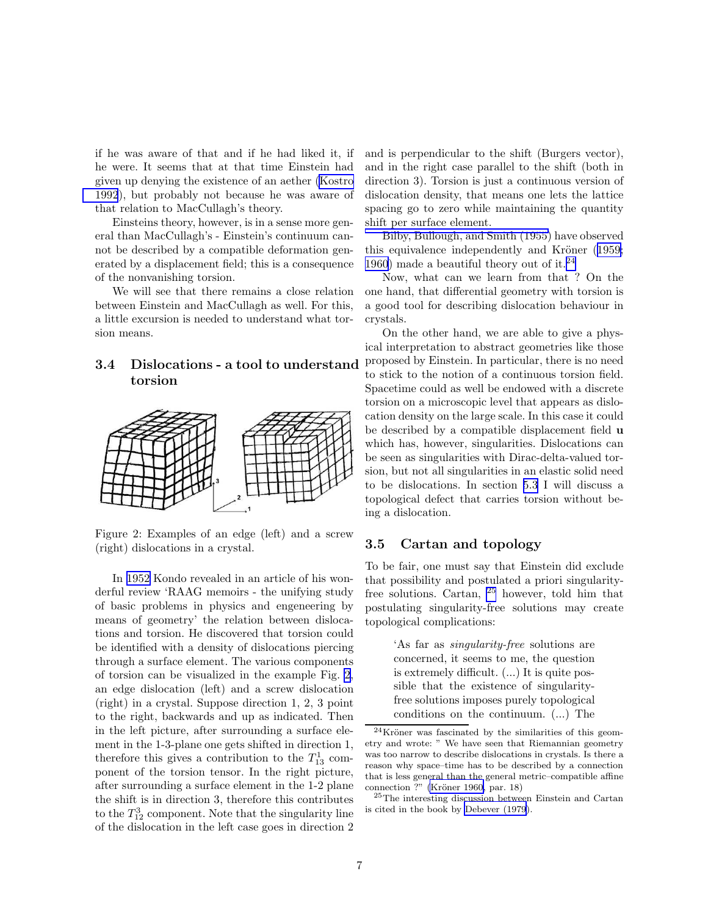<span id="page-6-0"></span>if he was aware of that and if he had liked it, if he were. It seems that at that time Einstein had given up denying the existence of an aether [\(Kostro](#page-17-0) [1992](#page-17-0)), but probably not because he was aware of that relation to MacCullagh's theory.

Einsteins theory, however, is in a sense more general than MacCullagh's - Einstein's continuum cannot be described by a compatible deformation generated by a displacement field; this is a consequence of the nonvanishing torsion.

We will see that there remains a close relation between Einstein and MacCullagh as well. For this, a little excursion is needed to understand what torsion means.

### 3.4 Dislocations - a tool to understand torsion



Figure 2: Examples of an edge (left) and a screw (right) dislocations in a crystal.

In [1952](#page-17-0) Kondo revealed in an article of his wonderful review 'RAAG memoirs - the unifying study of basic problems in physics and engeneering by means of geometry' the relation between dislocations and torsion. He discovered that torsion could be identified with a density of dislocations piercing through a surface element. The various components of torsion can be visualized in the example Fig. 2, an edge dislocation (left) and a screw dislocation (right) in a crystal. Suppose direction 1, 2, 3 point to the right, backwards and up as indicated. Then in the left picture, after surrounding a surface element in the 1-3-plane one gets shifted in direction 1, therefore this gives a contribution to the  $T_{13}^1$  component of the torsion tensor. In the right picture, after surrounding a surface element in the 1-2 plane the shift is in direction 3, therefore this contributes to the  $T_{12}^3$  component. Note that the singularity line of the dislocation in the left case goes in direction 2 and is perpendicular to the shift (Burgers vector), and in the right case parallel to the shift (both in direction 3). Torsion is just a continuous version of dislocation density, that means one lets the lattice spacing go to zero while maintaining the quantity shift per surface element.

[Bilby, Bullough, and Smith \(1955\)](#page-16-0) have observed this equivalence independently and Kröner ([1959;](#page-17-0) [1960](#page-17-0)) made a beautiful theory out of it.<sup>24</sup>

Now, what can we learn from that ? On the one hand, that differential geometry with torsion is a good tool for describing dislocation behaviour in crystals.

On the other hand, we are able to give a physical interpretation to abstract geometries like those proposed by Einstein. In particular, there is no need to stick to the notion of a continuous torsion field. Spacetime could as well be endowed with a discrete torsion on a microscopic level that appears as dislocation density on the large scale. In this case it could be described by a compatible displacement field **u** which has, however, singularities. Dislocations can be seen as singularities with Dirac-delta-valued torsion, but not all singularities in an elastic solid need to be dislocations. In section [5.3](#page-10-0) I will discuss a topological defect that carries torsion without being a dislocation.

#### 3.5 Cartan and topology

To be fair, one must say that Einstein did exclude that possibility and postulated a priori singularityfree solutions. Cartan, <sup>25</sup> however, told him that postulating singularity-free solutions may create topological complications:

> 'As far as *singularity-free* solutions are concerned, it seems to me, the question is extremely difficult. (...) It is quite possible that the existence of singularityfree solutions imposes purely topological conditions on the continuum. (...) The

 $24$ Kröner was fascinated by the similarities of this geometry and wrote: " We have seen that Riemannian geometry was too narrow to describe dislocations in crystals. Is there a reason why space–time has to be described by a connection that is less general than the general metric–compatible affine connection ?" (Kröner 1960, par. 18)

<sup>25</sup>The interesting discussion between Einstein and Cartan is cited in the book by [Debever \(1979](#page-16-0)).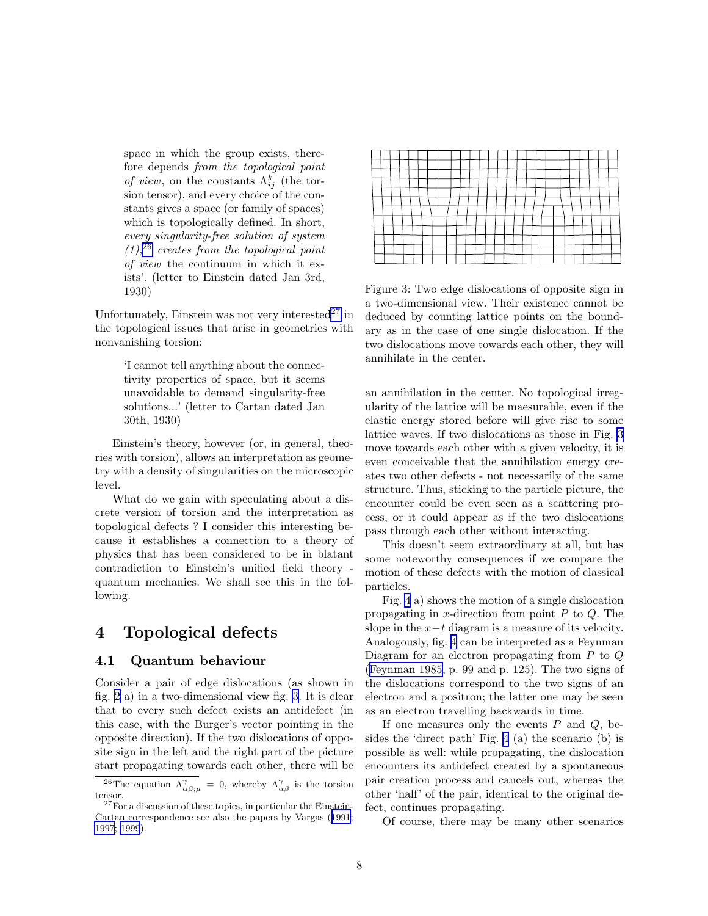<span id="page-7-0"></span>space in which the group exists, therefore depends *from the topological point of view*, on the constants  $\Lambda_{ij}^k$  (the torsion tensor), and every choice of the constants gives a space (or family of spaces) which is topologically defined. In short, *every singularity-free solution of system (1),*<sup>26</sup> *creates from the topological point of view* the continuum in which it exists'. (letter to Einstein dated Jan 3rd, 1930)

Unfortunately, Einstein was not very interested $^{27}$  in the topological issues that arise in geometries with nonvanishing torsion:

> 'I cannot tell anything about the connectivity properties of space, but it seems unavoidable to demand singularity-free solutions...' (letter to Cartan dated Jan 30th, 1930)

Einstein's theory, however (or, in general, theories with torsion), allows an interpretation as geometry with a density of singularities on the microscopic level.

What do we gain with speculating about a discrete version of torsion and the interpretation as topological defects ? I consider this interesting because it establishes a connection to a theory of physics that has been considered to be in blatant contradiction to Einstein's unified field theory quantum mechanics. We shall see this in the following.

# 4 Topological defects

### 4.1 Quantum behaviour

Consider a pair of edge dislocations (as shown in fig. [2](#page-6-0) a) in a two-dimensional view fig. 3. It is clear that to every such defect exists an antidefect (in this case, with the Burger's vector pointing in the opposite direction). If the two dislocations of opposite sign in the left and the right part of the picture start propagating towards each other, there will be

Figure 3: Two edge dislocations of opposite sign in a two-dimensional view. Their existence cannot be deduced by counting lattice points on the boundary as in the case of one single dislocation. If the two dislocations move towards each other, they will annihilate in the center.

an annihilation in the center. No topological irregularity of the lattice will be maesurable, even if the elastic energy stored before will give rise to some lattice waves. If two dislocations as those in Fig. 3 move towards each other with a given velocity, it is even conceivable that the annihilation energy creates two other defects - not necessarily of the same structure. Thus, sticking to the particle picture, the encounter could be even seen as a scattering process, or it could appear as if the two dislocations pass through each other without interacting.

This doesn't seem extraordinary at all, but has some noteworthy consequences if we compare the motion of these defects with the motion of classical particles.

Fig. [4](#page-8-0) a) shows the motion of a single dislocation propagating in x-direction from point  $P$  to  $Q$ . The slope in the  $x-t$  diagram is a measure of its velocity. Analogously, fig. [4](#page-8-0) can be interpreted as a Feynman Diagram for an electron propagating from P to Q ([Feynman 1985,](#page-17-0) p. 99 and p. 125). The two signs of the dislocations correspond to the two signs of an electron and a positron; the latter one may be seen as an electron travelling backwards in time.

If one measures only the events  $P$  and  $Q$ , besides the 'direct path' Fig. [4](#page-8-0) (a) the scenario (b) is possible as well: while propagating, the dislocation encounters its antidefect created by a spontaneous pair creation process and cancels out, whereas the other 'half' of the pair, identical to the original defect, continues propagating.

Of course, there may be many other scenarios

<sup>&</sup>lt;sup>26</sup>The equation  $\Lambda^{\gamma}_{\alpha\beta;\mu} = 0$ , whereby  $\Lambda^{\gamma}_{\alpha\beta}$  is the torsion tensor.

<sup>27</sup>For a discussion of these topics, in particular the Einstein-Cartan correspondence see also the papers by Vargas ([1991](#page-18-0); [1997](#page-18-0); [1999](#page-18-0)).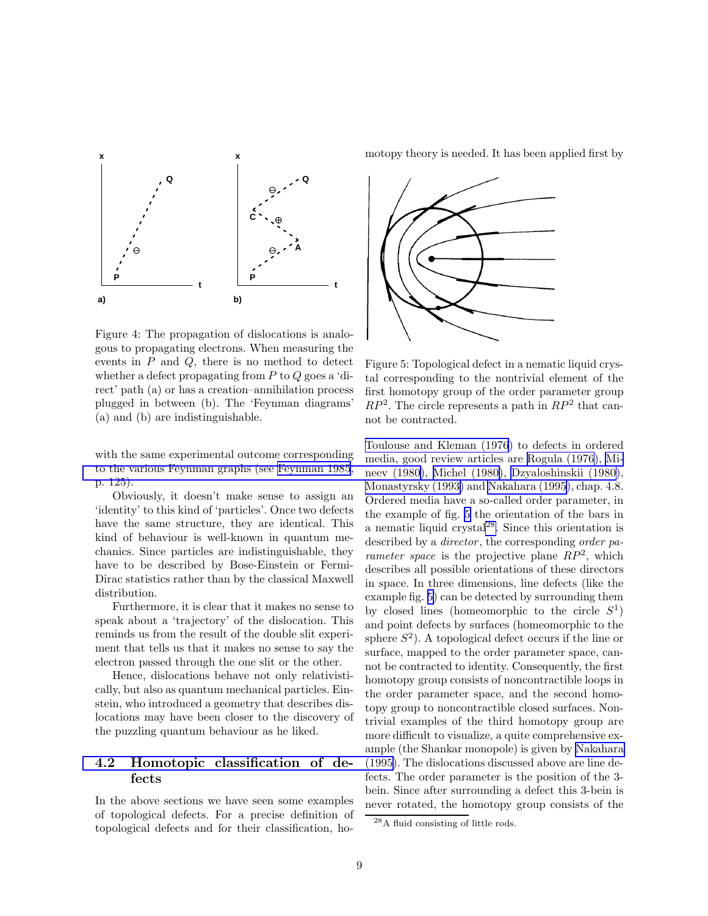<span id="page-8-0"></span>

Figure 4: The propagation of dislocations is analogous to propagating electrons. When measuring the events in  $P$  and  $Q$ , there is no method to detect whether a defect propagating from  $P$  to  $Q$  goes a 'direct' path (a) or has a creation–annihilation process plugged in between (b). The 'Feynman diagrams' (a) and (b) are indistinguishable.

with the same experimental outcome corresponding [to the various Feynman graphs \(see](#page-18-0) [Feynman 1985](#page-17-0)[,](#page-18-0) p. 125).

Obviously, it doesn't make sense to assign an 'identity' to this kind of 'particles'. Once two defects have the same structure, they are identical. This kind of behaviour is well-known in quantum mechanics. Since particles are indistinguishable, they have to be described by Bose-Einstein or Fermi-Dirac statistics rather than by the classical Maxwell distribution.

Furthermore, it is clear that it makes no sense to speak about a 'trajectory' of the dislocation. This reminds us from the result of the double slit experiment that tells us that it makes no sense to say the electron passed through the one slit or the other.

Hence, dislocations behave not only relativistically, but also as quantum mechanical particles. Einstein, who introduced a geometry that describes dislocations may have been closer to the discovery of the puzzling quantum behaviour as he liked.

## [4.2 Homotopic classification of de](#page-18-0)fects

In the above sections we have seen some examples of topological defects. For a precise definition of topological defects and for their classification, homotopy theory is needed. It has been applied first by



Figure 5: Topological defect in a nematic liquid crystal corresponding to the nontrivial element of the first homotopy group of the order parameter group  $RP^2$ . The circle represents a path in  $RP^2$  that cannot be contracted.

[Toulouse and Kleman \(1976](#page-18-0)) to defects in ordered media, good review articles are [Rogula \(1976](#page-18-0)), [Mi](#page-18-0)neev (1980), [Michel \(1980\)](#page-17-0), [Dzyaloshinskii \(1980\)](#page-16-0), [Monastyrsky \(1993\)](#page-18-0) and [Nakahara \(1995\)](#page-18-0), chap. 4.8. Ordered media have a so-called order parameter, in the example of fig. 5 the orientation of the bars in a nematic liquid crystal $^{28}$ . Since this orientation is described by a *director* , the corresponding *order parameter space* is the projective plane  $\overline{RP^2}$ , which describes all possible orientations of these directors in space. In three dimensions, line defects (like the example fig. 5) can be detected by surrounding them by closed lines (homeomorphic to the circle  $S^1$ ) and point defects by surfaces (homeomorphic to the sphere  $S^2$ ). A topological defect occurs if the line or surface, mapped to the order parameter space, cannot be contracted to identity. Consequently, the first homotopy group consists of noncontractible loops in the order parameter space, and the second homotopy group to noncontractible closed surfaces. Nontrivial examples of the third homotopy group are more difficult to visualize, a quite comprehensive example (the Shankar monopole) is given by [Nakahara](#page-18-0) (1995). The dislocations discussed above are line defects. The order parameter is the position of the 3 bein. Since after surrounding a defect this 3-bein is never rotated, the homotopy group consists of the

<sup>28</sup>A fluid consisting of little rods.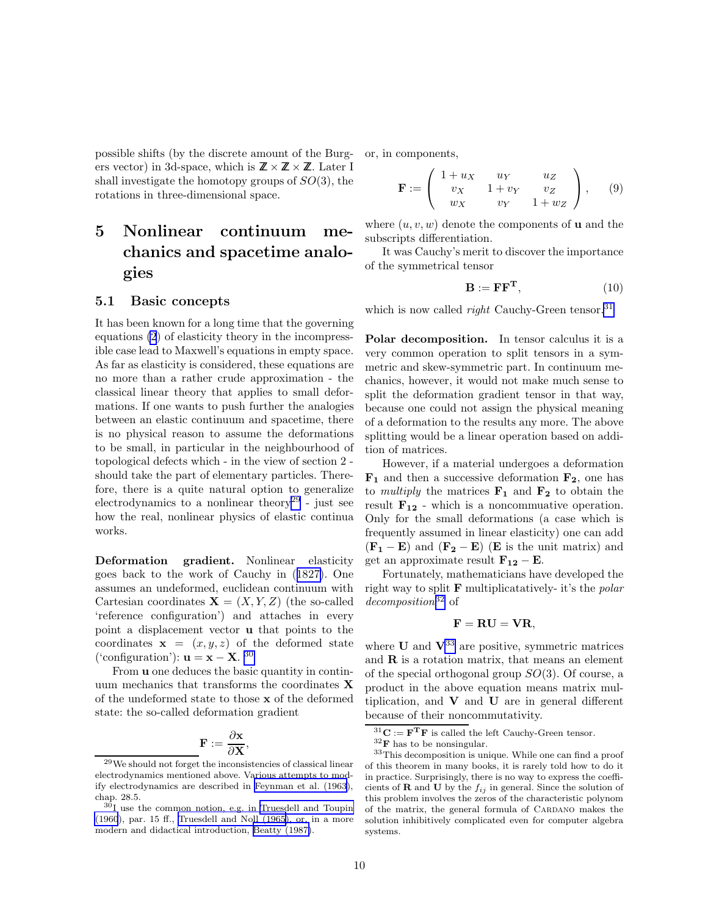<span id="page-9-0"></span>possible shifts (by the discrete amount of the Burg- or, in components, ers vector) in 3d-space, which is  $\mathbb{Z} \times \mathbb{Z} \times \mathbb{Z}$ . Later I shall investigate the homotopy groups of  $SO(3)$ , the rotations in three-dimensional space.

# 5 Nonlinear continuum mechanics and spacetime analogies

#### 5.1 Basic concepts

It has been known for a long time that the governing equations [\(2](#page-2-0)) of elasticity theory in the incompressible case lead to Maxwell's equations in empty space. As far as elasticity is considered, these equations are no more than a rather crude approximation - the classical linear theory that applies to small deformations. If one wants to push further the analogies between an elastic continuum and spacetime, there is no physical reason to assume the deformations to be small, in particular in the neighbourhood of topological defects which - in the view of section 2 should take the part of elementary particles. Therefore, there is a quite natural option to generalize electrodynamics to a nonlinear theory<sup>29</sup> - just see how the real, nonlinear physics of elastic continua works.

Deformation gradient. Nonlinear elasticity goes back to the work of Cauchy in ([1827\)](#page-16-0). One assumes an undeformed, euclidean continuum with Cartesian coordinates  $X = (X, Y, Z)$  (the so-called 'reference configuration') and attaches in every point a displacement vector u that points to the coordinates  $x = (x, y, z)$  of the deformed state ('configuration'):  $\mathbf{u} = \mathbf{x} - \mathbf{X}$ . 30

From u one deduces the basic quantity in continuum mechanics that transforms the coordinates X of the undeformed state to those x of the deformed state: the so-called deformation gradient

$$
\mathbf{F} := \frac{\partial \mathbf{x}}{\partial \mathbf{X}},
$$

$$
\mathbf{F} := \left( \begin{array}{ccc} 1+u_X & u_Y & u_Z \\ v_X & 1+v_Y & v_Z \\ w_X & v_Y & 1+w_Z \end{array} \right), \qquad (9)
$$

where  $(u, v, w)$  denote the components of **u** and the subscripts differentiation.

It was Cauchy's merit to discover the importance of the symmetrical tensor

$$
\mathbf{B} := \mathbf{F} \mathbf{F}^{\mathbf{T}},\tag{10}
$$

which is now called *right* Cauchy-Green tensor.<sup>31</sup>

Polar decomposition. In tensor calculus it is a very common operation to split tensors in a symmetric and skew-symmetric part. In continuum mechanics, however, it would not make much sense to split the deformation gradient tensor in that way, because one could not assign the physical meaning of a deformation to the results any more. The above splitting would be a linear operation based on addition of matrices.

However, if a material undergoes a deformation  $\mathbf{F}_1$  and then a successive deformation  $\mathbf{F}_2$ , one has to *multiply* the matrices  $\mathbf{F}_1$  and  $\mathbf{F}_2$  to obtain the result  $\mathbf{F}_{12}$  - which is a noncommuative operation. Only for the small deformations (a case which is frequently assumed in linear elasticity) one can add  $(\mathbf{F}_1 - \mathbf{E})$  and  $(\mathbf{F}_2 - \mathbf{E})$  (E is the unit matrix) and get an approximate result  $\mathbf{F}_{12} - \mathbf{E}$ .

Fortunately, mathematicians have developed the right way to split F multiplicatatively- it's the *polar decomposition*<sup>32</sup> of

$$
\mathbf{F} = \mathbf{R}\mathbf{U} = \mathbf{V}\mathbf{R},
$$

where  $\bf{U}$  and  $\bf{V}^{33}$  are positive, symmetric matrices and  $\bf{R}$  is a rotation matrix, that means an element of the special orthogonal group  $SO(3)$ . Of course, a product in the above equation means matrix multiplication, and  $V$  and  $U$  are in general different because of their noncommutativity.

<sup>29</sup>We should not forget the inconsistencies of classical linear electrodynamics mentioned above. Various attempts to modify electrodynamics are described in [Feynman et al. \(1963\)](#page-17-0), chap. 28.5.

 $30I$  use the common notion, e.g. in [Truesdell and Toupin](#page-18-0) [\(1960](#page-18-0)), par. 15 ff., [Truesdell and Noll \(1965](#page-18-0)), or, in a more modern and didactical introduction, [Beatty \(1987\)](#page-16-0).

 $31$ **C** := **F<sup>T</sup>F** is called the left Cauchy-Green tensor.

 $32$ **F** has to be nonsingular.

<sup>33</sup>This decomposition is unique. While one can find a proof of this theorem in many books, it is rarely told how to do it in practice. Surprisingly, there is no way to express the coefficients of **R** and **U** by the  $f_{ij}$  in general. Since the solution of this problem involves the zeros of the characteristic polynom of the matrix, the general formula of CARDANO makes the solution inhibitively complicated even for computer algebra systems.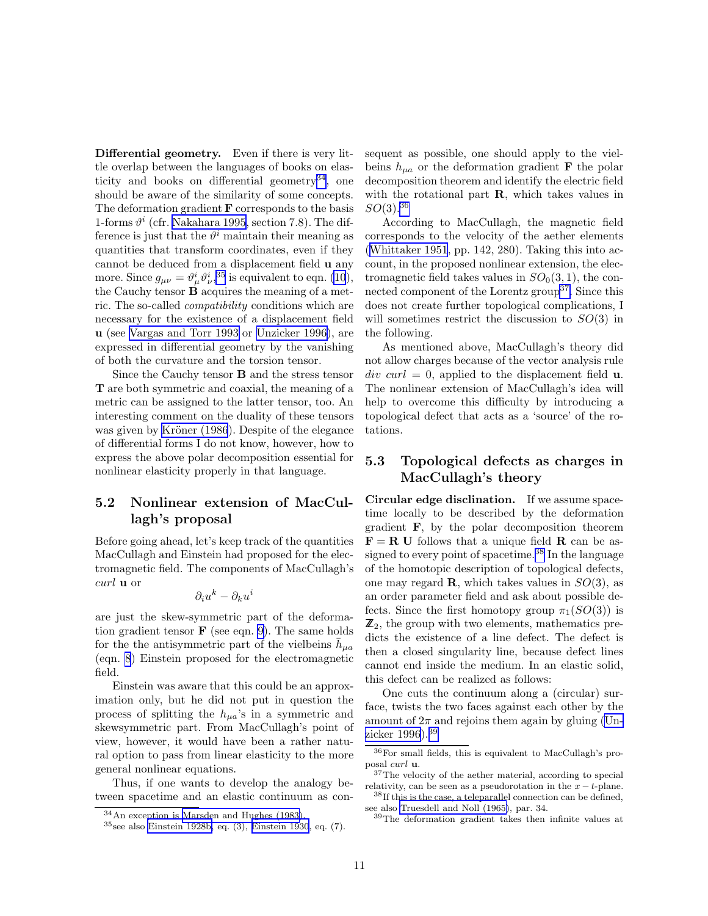<span id="page-10-0"></span>Differential geometry. Even if there is very little overlap between the languages of books on elasticity and books on differential geometry<sup>34</sup>, one should be aware of the similarity of some concepts. The deformation gradient  $\bf{F}$  corresponds to the basis 1-forms  $\vartheta^i$  (cfr. [Nakahara 1995,](#page-18-0) section 7.8). The difference is just that the  $\vartheta^i$  maintain their meaning as quantities that transform coordinates, even if they cannot be deduced from a displacement field u any more. Since  $g_{\mu\nu} = \vartheta^i_\mu \vartheta^i_\nu,$ <sup>35</sup> is equivalent to eqn. [\(10](#page-9-0)), the Cauchy tensor  $\dot{\mathbf{B}}$  acquires the meaning of a metric. The so-called *compatibility* conditions which are necessary for the existence of a displacement field u (see [Vargas and Torr 1993](#page-18-0) or [Unzicker 1996\)](#page-18-0), are expressed in differential geometry by the vanishing of both the curvature and the torsion tensor.

Since the Cauchy tensor B and the stress tensor T are both symmetric and coaxial, the meaning of a metric can be assigned to the latter tensor, too. An interesting comment on the duality of these tensors was given by Kröner (1986). Despite of the elegance of differential forms I do not know, however, how to express the above polar decomposition essential for nonlinear elasticity properly in that language.

### 5.2 Nonlinear extension of MacCullagh's proposal

Before going ahead, let's keep track of the quantities MacCullagh and Einstein had proposed for the electromagnetic field. The components of MacCullagh's curl u or

$$
\partial_i u^k - \partial_k u^i
$$

are just the skew-symmetric part of the deformation gradient tensor  $\bf{F}$  (see eqn. [9\)](#page-9-0). The same holds for the the antisymmetric part of the vielbeins  $\bar{h}_{\mu a}$ (eqn. [8](#page-5-0)) Einstein proposed for the electromagnetic field.

Einstein was aware that this could be an approximation only, but he did not put in question the process of splitting the  $h_{\mu a}$ 's in a symmetric and skewsymmetric part. From MacCullagh's point of view, however, it would have been a rather natural option to pass from linear elasticity to the more general nonlinear equations.

Thus, if one wants to develop the analogy between spacetime and an elastic continuum as consequent as possible, one should apply to the vielbeins  $h_{\mu a}$  or the deformation gradient **F** the polar decomposition theorem and identify the electric field with the rotational part  $\bf{R}$ , which takes values in  $SO(3).^{36}$ 

According to MacCullagh, the magnetic field corresponds to the velocity of the aether elements ([Whittaker 1951](#page-18-0), pp. 142, 280). Taking this into account, in the proposed nonlinear extension, the electromagnetic field takes values in  $SO<sub>0</sub>(3,1)$ , the connected component of the Lorentz group<sup>37</sup>. Since this does not create further topological complications, I will sometimes restrict the discussion to  $SO(3)$  in the following.

As mentioned above, MacCullagh's theory did not allow charges because of the vector analysis rule  $div curl = 0$ , applied to the displacement field **u**. The nonlinear extension of MacCullagh's idea will help to overcome this difficulty by introducing a topological defect that acts as a 'source' of the rotations.

## 5.3 Topological defects as charges in MacCullagh's theory

Circular edge disclination. If we assume spacetime locally to be described by the deformation gradient F, by the polar decomposition theorem  $\mathbf{F} = \mathbf{R} \mathbf{U}$  follows that a unique field  $\mathbf{R}$  can be assigned to every point of spacetime.<sup>38</sup> In the language of the homotopic description of topological defects, one may regard **R**, which takes values in  $SO(3)$ , as an order parameter field and ask about possible defects. Since the first homotopy group  $\pi_1(SO(3))$  is  $\mathbb{Z}_2$ , the group with two elements, mathematics predicts the existence of a line defect. The defect is then a closed singularity line, because defect lines cannot end inside the medium. In an elastic solid, this defect can be realized as follows:

One cuts the continuum along a (circular) surface, twists the two faces against each other by the amount of  $2\pi$  and rejoins them again by gluing [\(Un](#page-18-0)[zicker 1996\)](#page-18-0).<sup>39</sup>

<sup>34</sup>An exception is [Marsden and Hughes \(1983\)](#page-17-0).

 $35$ see also [Einstein 1928b,](#page-17-0) eq. (3), [Einstein 1930](#page-17-0), eq. (7).

<sup>36</sup>For small fields, this is equivalent to MacCullagh's proposal curl u.

<sup>&</sup>lt;sup>37</sup>The velocity of the aether material, according to special relativity, can be seen as a pseudorotation in the  $x - t$ -plane.

 $38$ If this is the case, a teleparallel connection can be defined, see also [Truesdell and Noll \(1965\)](#page-18-0), par. 34.

<sup>39</sup>The deformation gradient takes then infinite values at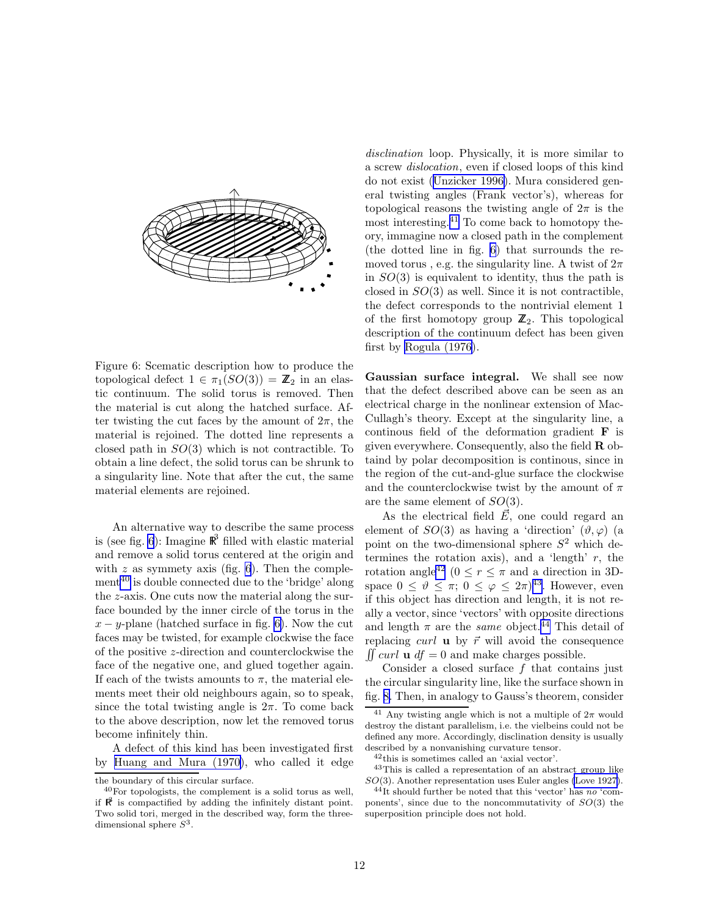<span id="page-11-0"></span>

Figure 6: Scematic description how to produce the topological defect  $1 \in \pi_1(SO(3)) = \mathbb{Z}_2$  in an elastic continuum. The solid torus is removed. Then the material is cut along the hatched surface. After twisting the cut faces by the amount of  $2\pi$ , the material is rejoined. The dotted line represents a closed path in  $SO(3)$  which is not contractible. To obtain a line defect, the solid torus can be shrunk to a singularity line. Note that after the cut, the same material elements are rejoined.

An alternative way to describe the same process is (see fig. 6): Imagine  $\mathbb{R}^3$  filled with elastic material and remove a solid torus centered at the origin and with  $z$  as symmety axis (fig. 6). Then the complement<sup>40</sup> is double connected due to the 'bridge' along the z-axis. One cuts now the material along the surface bounded by the inner circle of the torus in the  $x - y$ -plane (hatched surface in fig. 6). Now the cut faces may be twisted, for example clockwise the face of the positive z-direction and counterclockwise the face of the negative one, and glued together again. If each of the twists amounts to  $\pi$ , the material elements meet their old neighbours again, so to speak, since the total twisting angle is  $2\pi$ . To come back to the above description, now let the removed torus become infinitely thin.

A defect of this kind has been investigated first by [Huang and Mura \(1970\)](#page-17-0), who called it edge *disclination* loop. Physically, it is more similar to a screw *dislocation*, even if closed loops of this kind do not exist ([Unzicker 1996\)](#page-18-0). Mura considered general twisting angles (Frank vector's), whereas for topological reasons the twisting angle of  $2\pi$  is the most interesting.<sup>41</sup> To come back to homotopy theory, immagine now a closed path in the complement (the dotted line in fig. 6) that surrounds the removed torus, e.g. the singularity line. A twist of  $2\pi$ in  $SO(3)$  is equivalent to identity, thus the path is closed in  $SO(3)$  as well. Since it is not contractible, the defect corresponds to the nontrivial element 1 of the first homotopy group  $\mathbb{Z}_2$ . This topological description of the continuum defect has been given first by [Rogula \(1976](#page-18-0)).

Gaussian surface integral. We shall see now that the defect described above can be seen as an electrical charge in the nonlinear extension of Mac-Cullagh's theory. Except at the singularity line, a continous field of the deformation gradient  $\bf{F}$  is given everywhere. Consequently, also the field  $\bf{R}$  obtaind by polar decomposition is continous, since in the region of the cut-and-glue surface the clockwise and the counterclockwise twist by the amount of  $\pi$ are the same element of  $SO(3)$ .

As the electrical field  $\vec{E}$ , one could regard an element of  $SO(3)$  as having a 'direction'  $(\vartheta, \varphi)$  (a point on the two-dimensional sphere  $S^2$  which determines the rotation axis), and a 'length'  $r$ , the rotation angle<sup>42</sup> ( $0 \le r \le \pi$  and a direction in 3Dspace  $0 \leq \tilde{\vartheta} \leq \pi$ ;  $0 \leq \varphi \leq 2\pi$ <sup>43</sup>. However, even if this object has direction and length, it is not really a vector, since 'vectors' with opposite directions and length  $\pi$  are the *same* object.<sup>44</sup> This detail of replacing curl **u** by  $\vec{r}$  will avoid the consequence  $\iint curl \mathbf{u} df = 0$  and make charges possible.

Consider a closed surface f that contains just the circular singularity line, like the surface shown in fig. [8.](#page-12-0) Then, in analogy to Gauss's theorem, consider

the boundary of this circular surface.

 $40$ For topologists, the complement is a solid torus as well. if  $\mathbb{R}^3$  is compactified by adding the infinitely distant point. Two solid tori, merged in the described way, form the threedimensional sphere  $S^3$ .

<sup>&</sup>lt;sup>41</sup> Any twisting angle which is not a multiple of  $2\pi$  would destroy the distant parallelism, i.e. the vielbeins could not be defined any more. Accordingly, disclination density is usually described by a nonvanishing curvature tensor.

<sup>42</sup>this is sometimes called an 'axial vector'.

<sup>43</sup>This is called a representation of an abstract group like SO(3). Another representation uses Euler angles [\(Love 1927\)](#page-17-0).

 $^{44}$ It should further be noted that this 'vector' has no 'components', since due to the noncommutativity of  $SO(3)$  the superposition principle does not hold.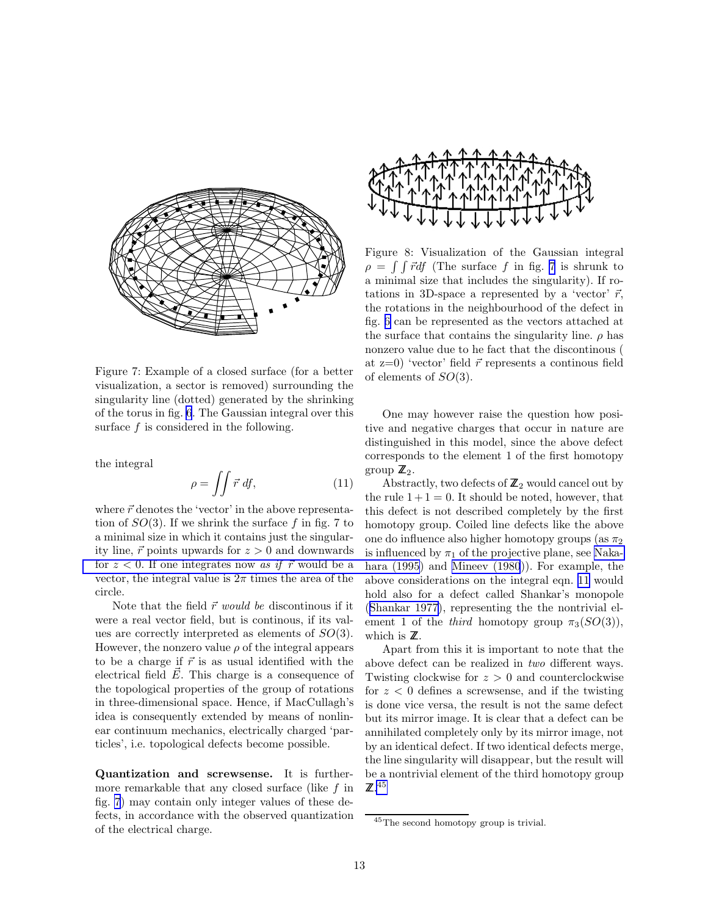<span id="page-12-0"></span>

Figure 7: Example of a closed surface (for a better visualization, a sector is removed) surrounding the singularity line (dotted) generated by the shrinking of the torus in fig. [6](#page-11-0). The Gaussian integral over this surface  $f$  is considered in the following.

the integral

$$
\rho = \iint \vec{r} \, df,\tag{11}
$$

where  $\vec{r}$  denotes the 'vector' in the above representation of  $SO(3)$ . If we shrink the surface f in fig. 7 to a minimal size in which it contains just the singularity line,  $\vec{r}$  points upwards for  $z > 0$  and downwards for  $z < 0$ . If one integrates now *as if*  $\vec{r}$  would be a vector, the integral value is  $2\pi$  times the area of the circle.

Note that the field  $\vec{r}$  *would be* discontinous if it were a real vector field, but is continous, if its values are correctly interpreted as elements of  $SO(3)$ . However, the nonzero value  $\rho$  of the integral appears to be a charge if  $\vec{r}$  is as usual identified with the electrical field  $\vec{E}$ . This charge is a consequence of the topological properties of the group of rotations in three-dimensional space. Hence, if MacCullagh's idea is consequently extended by means of nonlinear continuum mechanics, electrically charged 'particles', i.e. topological defects become possible.

Quantization and screwsense. It is furthermore remarkable that any closed surface (like  $f$  in fig. 7) may contain only integer values of these defects, in accordance with the observed quantization of the electrical charge.



Figure 8: Visualization of the Gaussian integral  $\rho = \int \int \vec{r} df$  (The surface f in fig. 7 is shrunk to a minimal size that includes the singularity). If rotations in 3D-space a represented by a 'vector'  $\vec{r}$ , the rotations in the neighbourhood of the defect in fig. [6](#page-11-0) can be represented as the vectors attached at the surface that contains the singularity line.  $\rho$  has nonzero value due to he fact that the discontinous ( at  $z=0$  'vector' field  $\vec{r}$  represents a continous field of elements of SO(3).

One may however raise the question how positive and negative charges that occur in nature are distinguished in this model, since the above defect corresponds to the element 1 of the first homotopy group  $\mathbb{Z}_2$ .

Abstractly, two defects of  $\mathbb{Z}_2$  would cancel out by the rule  $1+1=0$ . It should be noted, however, that this defect is not described completely by the first homotopy group. Coiled line defects like the above one do influence also higher homotopy groups (as  $\pi_2$ ) is influenced by  $\pi_1$  of the projective plane, see [Naka](#page-18-0)hara (1995) and [Mineev \(1980](#page-18-0))). For example, the above considerations on the integral eqn. 11 would hold also for a defect called Shankar's monopole ([Shankar 1977](#page-18-0)), representing the the nontrivial element 1 of the *third* homotopy group  $\pi_3(SO(3))$ , which is  $\mathbb Z$ .

Apart from this it is important to note that the above defect can be realized in *two* different ways. Twisting clockwise for  $z > 0$  and counterclockwise for  $z < 0$  defines a screwsense, and if the twisting is done vice versa, the result is not the same defect but its mirror image. It is clear that a defect can be annihilated completely only by its mirror image, not by an identical defect. If two identical defects merge, the line singularity will disappear, but the result will be a nontrivial element of the third homotopy group  $\mathbb{Z}$ .<sup>45</sup>

<sup>45</sup>The second homotopy group is trivial.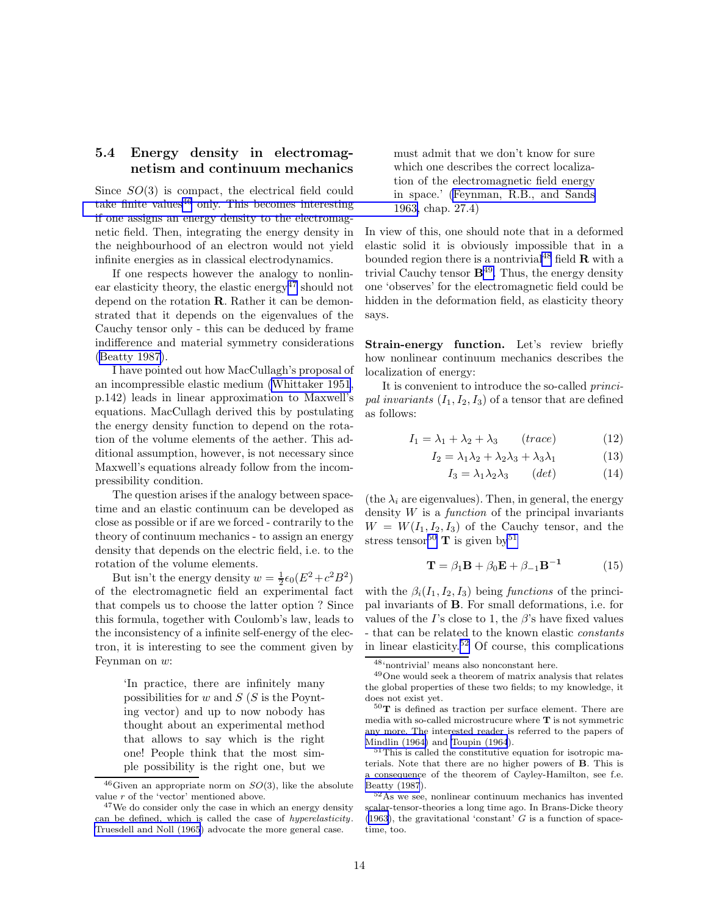## 5.4 Energy density in electromagnetism and continuum mechanics

Since  $SO(3)$  is compact, the electrical field could take finite values $46$  [only. This becomes interesting](#page-17-0) if one assigns an energy density to the electromagnetic field. Then, integrating the energy density in the neighbourhood of an electron would not yield infinite energies as in classical electrodynamics.

If one respects however the analogy to nonlinear elasticity theory, the elastic energy<sup>47</sup> should not depend on the rotation R. Rather it can be demonstrated that it depends on the eigenvalues of the Cauchy tensor only - this can be deduced by frame indifference and material symmetry considerations [\(Beatty 1987\)](#page-16-0).

I have pointed out how MacCullagh's proposal of an incompressible elastic medium [\(Whittaker 1951](#page-18-0), p.142) leads in linear approximation to Maxwell's equations. MacCullagh derived this by postulating the energy density function to depend on the rotation of the volume elements of the aether. This additional assumption, however, is not necessary since Maxwell's equations already follow from the incompressibility condition.

The question arises if the analogy between spacetime and an elastic continuum can be developed as close as possible or if are we forced - contrarily to the theory of continuum mechanics - to assign an energy density that depends on the electric field, i.e. to the rotation of the volume elements.

But isn't the energy density  $w = \frac{1}{2} \epsilon_0 (E^2 + c^2 B^2)$ of the electromagnetic field an experimental fact that compels us to choose the latter option ? Since this formula, together with Coulomb's law, leads to the inconsistency of a infinite self-energy of the electron, it is interesting to see the comment given by Feynman on w:

> 'In practice, there are infinitely many possibilities for  $w$  and  $S(S)$  is the Poynting vector) and up to now nobody has thought about an experimental method that allows to say which is the right one! People think that the most simple possibility is the right one, but we

must admit that we don't know for sure which one describes the correct localization of the electromagnetic field energy in space.' [\(Feynman, R.B., and Sands](#page-17-0) 1963, chap. 27.4)

In view of this, one should note that in a deformed elastic solid it is obviously impossible that in a bounded region there is a nontrivial<sup>48</sup> field  $\bf{R}$  with a trivial Cauchy tensor  $\mathbf{B}^{49}$ . Thus, the energy density one 'observes' for the electromagnetic field could be hidden in the deformation field, as elasticity theory says.

Strain-energy function. Let's review briefly how nonlinear continuum mechanics describes the localization of energy:

It is convenient to introduce the so-called *princi*pal invariants  $(I_1, I_2, I_3)$  of a tensor that are defined as follows:

$$
I_1 = \lambda_1 + \lambda_2 + \lambda_3 \qquad (trace)
$$
 (12)

$$
I_2 = \lambda_1 \lambda_2 + \lambda_2 \lambda_3 + \lambda_3 \lambda_1 \tag{13}
$$

$$
I_3 = \lambda_1 \lambda_2 \lambda_3 \qquad (det) \tag{14}
$$

(the  $\lambda_i$  are eigenvalues). Then, in general, the energy density W is a *function* of the principal invariants  $W = W(I_1, I_2, I_3)$  of the Cauchy tensor, and the stress tensor<sup>50</sup> **T** is given by<sup>51</sup>

$$
\mathbf{T} = \beta_1 \mathbf{B} + \beta_0 \mathbf{E} + \beta_{-1} \mathbf{B}^{-1}
$$
 (15)

with the  $\beta_i(I_1, I_2, I_3)$  being *functions* of the principal invariants of B. For small deformations, i.e. for values of the I's close to 1, the  $\beta$ 's have fixed values - that can be related to the known elastic *constants* in linear elasticity.<sup>52</sup> Of course, this complications

 $^{46}$ Given an appropriate norm on  $SO(3)$ , like the absolute value  $r$  of the 'vector' mentioned above.

 $47$ We do consider only the case in which an energy density can be defined, which is called the case of hyperelasticity. [Truesdell and Noll \(1965](#page-18-0)) advocate the more general case.

<sup>48</sup>'nontrivial' means also nonconstant here.

<sup>49</sup>One would seek a theorem of matrix analysis that relates the global properties of these two fields; to my knowledge, it does not exist yet.

 $50$ T is defined as traction per surface element. There are media with so-called microstrucure where T is not symmetric any more. The interested reader is referred to the papers of [Mindlin \(1964\)](#page-18-0) and [Toupin \(1964](#page-18-0)).

<sup>&</sup>lt;sup>51</sup>This is called the constitutive equation for isotropic materials. Note that there are no higher powers of B. This is a consequence of the theorem of Cayley-Hamilton, see f.e. [Beatty \(1987](#page-16-0)).

<sup>52</sup>As we see, nonlinear continuum mechanics has invented scalar-tensor-theories a long time ago. In Brans-Dicke theory [\(1963\)](#page-16-0), the gravitational 'constant'  $G$  is a function of spacetime, too.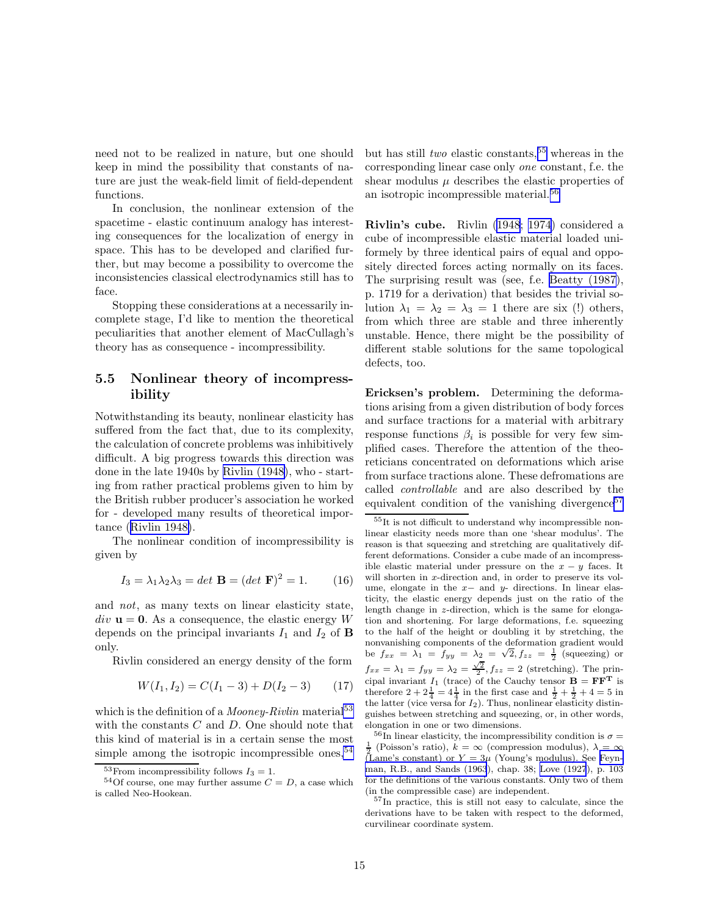<span id="page-14-0"></span>need not to be realized in nature, but one should keep in mind the possibility that constants of nature are just the weak-field limit of field-dependent functions.

In conclusion, the nonlinear extension of the spacetime - elastic continuum analogy has interesting consequences for the localization of energy in space. This has to be developed and clarified further, but may become a possibility to overcome the inconsistencies classical electrodynamics still has to face.

Stopping these considerations at a necessarily incomplete stage, I'd like to mention the theoretical peculiarities that another element of MacCullagh's theory has as consequence - incompressibility.

### 5.5 Nonlinear theory of incompressibility

Notwithstanding its beauty, nonlinear elasticity has suffered from the fact that, due to its complexity, the calculation of concrete problems was inhibitively difficult. A big progress towards this direction was done in the late 1940s by [Rivlin \(1948\)](#page-18-0), who - starting from rather practical problems given to him by the British rubber producer's association he worked for - developed many results of theoretical importance ([Rivlin 1948\)](#page-18-0).

The nonlinear condition of incompressibility is given by

$$
I_3 = \lambda_1 \lambda_2 \lambda_3 = det \mathbf{B} = (det \mathbf{F})^2 = 1.
$$
 (16)

and *not*, as many texts on linear elasticity state,  $div \mathbf{u} = \mathbf{0}$ . As a consequence, the elastic energy W depends on the principal invariants  $I_1$  and  $I_2$  of **B** only.

Rivlin considered an energy density of the form

$$
W(I_1, I_2) = C(I_1 - 3) + D(I_2 - 3) \tag{17}
$$

which is the definition of a *Mooney-Rivlin* material<sup>53</sup> with the constants  $C$  and  $D$ . One should note that this kind of material is in a certain sense the most simple among the isotropic incompressible ones,  $54$  but has still *two* elastic constants,  $55$  whereas in the corresponding linear case only *one* constant, f.e. the shear modulus  $\mu$  describes the elastic properties of an isotropic incompressible material.<sup>56</sup>

Rivlin's cube. Rivlin ([1948](#page-18-0); [1974\)](#page-18-0) considered a cube of incompressible elastic material loaded uniformely by three identical pairs of equal and oppositely directed forces acting normally on its faces. The surprising result was (see, f.e. [Beatty \(1987\)](#page-16-0), p. 1719 for a derivation) that besides the trivial solution  $\lambda_1 = \lambda_2 = \lambda_3 = 1$  there are six (!) others, from which three are stable and three inherently unstable. Hence, there might be the possibility of different stable solutions for the same topological defects, too.

Ericksen's problem. Determining the deformations arising from a given distribution of body forces and surface tractions for a material with arbitrary response functions  $\beta_i$  is possible for very few simplified cases. Therefore the attention of the theoreticians concentrated on deformations which arise from surface tractions alone. These defromations are called *controllable* and are also described by the equivalent condition of the vanishing divergence<sup>57</sup>

<sup>55</sup>It is not difficult to understand why incompressible nonlinear elasticity needs more than one 'shear modulus'. The reason is that squeezing and stretching are qualitatively different deformations. Consider a cube made of an incompressible elastic material under pressure on the  $x - y$  faces. It will shorten in x-direction and, in order to preserve its volume, elongate in the  $x-$  and  $y-$  directions. In linear elasticity, the elastic energy depends just on the ratio of the length change in z-direction, which is the same for elongation and shortening. For large deformations, f.e. squeezing to the half of the height or doubling it by stretching, the nonvanishing components of the deformation gradient would be  $f_{xx} = \lambda_1 = f_{yy} = \lambda_2 = \sqrt{2}, f_{zz} = \frac{1}{2}$  (squeezing) or  $f_{xx} = \lambda_1 = f_{yy} = \lambda_2 = \frac{\sqrt{2}}{2}, f_{zz} = 2$  (stretching). The principal invariant  $I_1$  (trace) of the Cauchy tensor  $\mathbf{B} = \mathbf{F} \mathbf{F}^T$  is therefore  $2 + 2\frac{1}{4} = 4\frac{1}{4}$  in the first case and  $\frac{1}{2} + \frac{1}{2} + 4 = 5$  in the latter (vice versa for  $I_2$ ). Thus, nonlinear elasticity distinguishes between stretching and squeezing, or, in other words, elongation in one or two dimensions.

<sup>56</sup>In linear elasticity, the incompressibility condition is  $\sigma =$ <sup>1</sup>/<sub>2</sub> (Poisson's ratio),  $k = \infty$  (compression modulus),  $\lambda = \infty$ 2 (Lame's constant) or Y = 3µ (Young's modulus). See [Feyn](#page-17-0)[man, R.B., and Sands \(1963](#page-17-0)), chap. 38; [Love \(1927](#page-17-0)), p. 103 for the definitions of the various constants. Only two of them (in the compressible case) are independent.

<sup>57</sup>In practice, this is still not easy to calculate, since the derivations have to be taken with respect to the deformed, curvilinear coordinate system.

<sup>&</sup>lt;sup>53</sup>From incompressibility follows  $I_3 = 1$ .

<sup>&</sup>lt;sup>54</sup>Of course, one may further assume  $C = D$ , a case which is called Neo-Hookean.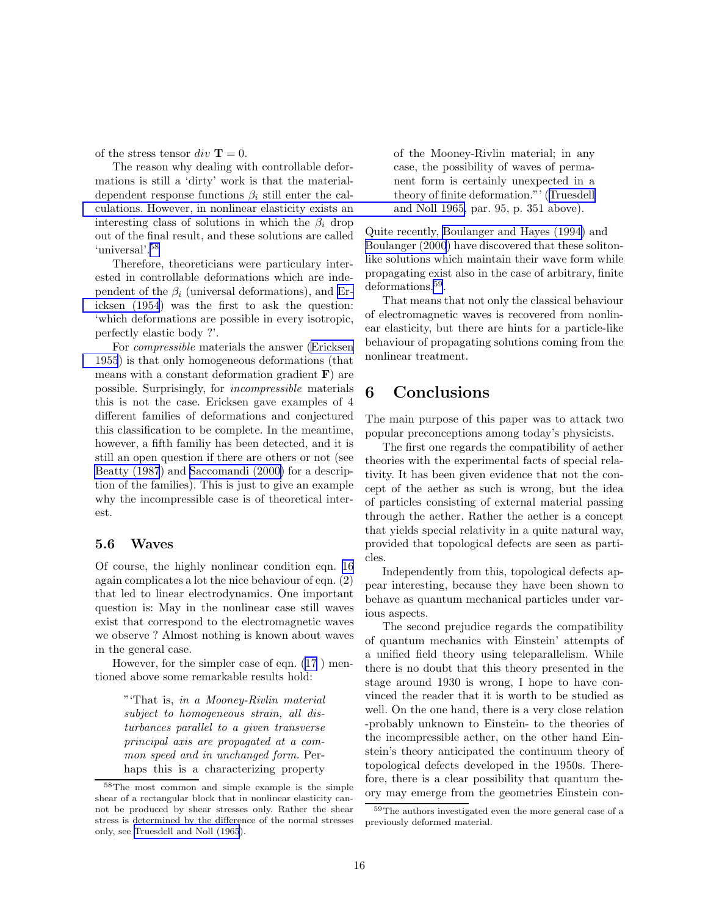<span id="page-15-0"></span>of the stress tensor  $div \mathbf{T} = 0$ .

The reason why dealing with controllable deformations is still a 'dirty' work is that the materialdependent response functions  $\beta_i$  still enter the cal[culations. However, in nonlinear elasticity exists an](#page-18-0) interesting class of solutions in which the  $\beta_i$  drop out of the final result, and these solutions are called 'universal'.<sup>58</sup>

Therefore, theoreticians were particulary interested in controllable deformations which are independent of the  $\beta_i$  (universal deformations), and [Er](#page-17-0)[icksen \(1954](#page-17-0)) was the first to ask the question: 'which deformations are possible in every isotropic, perfectly elastic body ?'.

For *compressible* materials the answer [\(Ericksen](#page-17-0) [1955](#page-17-0)) is that only homogeneous deformations (that means with a constant deformation gradient  $\bf{F}$ ) are possible. Surprisingly, for *incompressible* materials this is not the case. Ericksen gave examples of 4 different families of deformations and conjectured this classification to be complete. In the meantime, however, a fifth familiy has been detected, and it is still an open question if there are others or not (see [Beatty \(1987](#page-16-0)) and [Saccomandi \(2000\)](#page-18-0) for a description of the families). This is just to give an example why the incompressible case is of theoretical interest.

### 5.6 Waves

Of course, the highly nonlinear condition eqn. [16](#page-14-0) again complicates a lot the nice behaviour of eqn. (2) that led to linear electrodynamics. One important question is: May in the nonlinear case still waves exist that correspond to the electromagnetic waves we observe ? Almost nothing is known about waves in the general case.

However, for the simpler case of eqn. [\(17](#page-14-0) ) mentioned above some remarkable results hold:

> "'That is, *in a Mooney-Rivlin material subject to homogeneous strain, all disturbances parallel to a given transverse principal axis are propagated at a common speed and in unchanged form.* Perhaps this is a characterizing property

of the Mooney-Rivlin material; in any case, the possibility of waves of permanent form is certainly unexpected in a theory of finite deformation."' ([Truesdell](#page-18-0) and Noll 1965, par. 95, p. 351 above).

Quite recently, [Boulanger and Hayes \(1994\)](#page-16-0) and [Boulanger \(2000](#page-16-0)) have discovered that these solitonlike solutions which maintain their wave form while propagating exist also in the case of arbitrary, finite deformations.<sup>59</sup>.

That means that not only the classical behaviour of electromagnetic waves is recovered from nonlinear elasticity, but there are hints for a particle-like behaviour of propagating solutions coming from the nonlinear treatment.

# 6 Conclusions

The main purpose of this paper was to attack two popular preconceptions among today's physicists.

The first one regards the compatibility of aether theories with the experimental facts of special relativity. It has been given evidence that not the concept of the aether as such is wrong, but the idea of particles consisting of external material passing through the aether. Rather the aether is a concept that yields special relativity in a quite natural way, provided that topological defects are seen as particles.

Independently from this, topological defects appear interesting, because they have been shown to behave as quantum mechanical particles under various aspects.

The second prejudice regards the compatibility of quantum mechanics with Einstein' attempts of a unified field theory using teleparallelism. While there is no doubt that this theory presented in the stage around 1930 is wrong, I hope to have convinced the reader that it is worth to be studied as well. On the one hand, there is a very close relation -probably unknown to Einstein- to the theories of the incompressible aether, on the other hand Einstein's theory anticipated the continuum theory of topological defects developed in the 1950s. Therefore, there is a clear possibility that quantum theory may emerge from the geometries Einstein con-

<sup>58</sup>The most common and simple example is the simple shear of a rectangular block that in nonlinear elasticity cannot be produced by shear stresses only. Rather the shear stress is determined by the difference of the normal stresses only, see [Truesdell and Noll \(1965](#page-18-0)).

 $^{59}\mathrm{The}$  authors investigated even the more general case of a previously deformed material.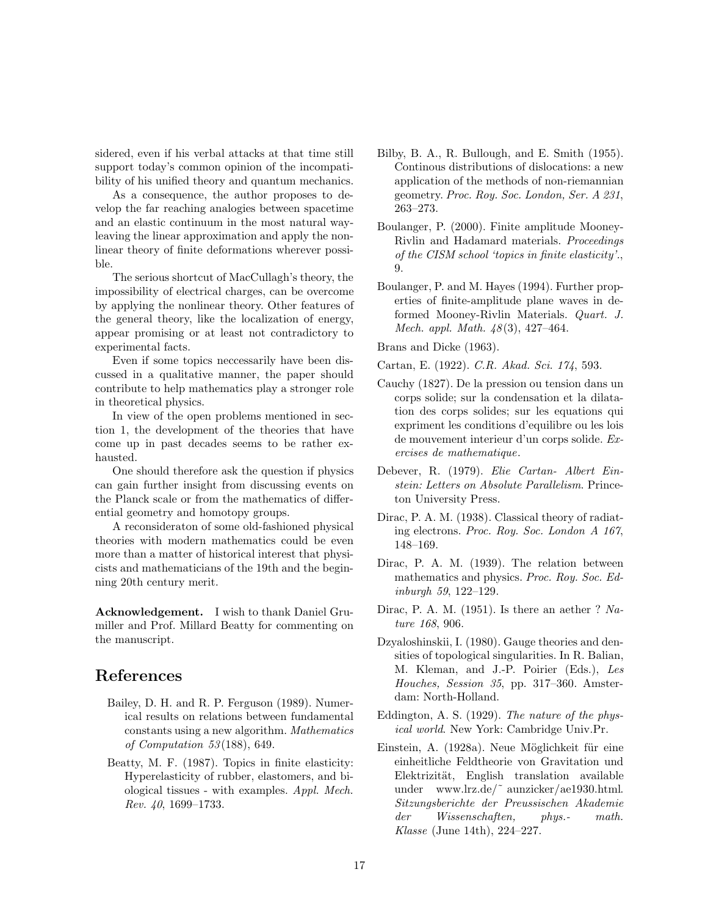<span id="page-16-0"></span>sidered, even if his verbal attacks at that time still support today's common opinion of the incompatibility of his unified theory and quantum mechanics.

As a consequence, the author proposes to develop the far reaching analogies between spacetime and an elastic continuum in the most natural wayleaving the linear approximation and apply the nonlinear theory of finite deformations wherever possible.

The serious shortcut of MacCullagh's theory, the impossibility of electrical charges, can be overcome by applying the nonlinear theory. Other features of the general theory, like the localization of energy, appear promising or at least not contradictory to experimental facts.

Even if some topics neccessarily have been discussed in a qualitative manner, the paper should contribute to help mathematics play a stronger role in theoretical physics.

In view of the open problems mentioned in section 1, the development of the theories that have come up in past decades seems to be rather exhausted.

One should therefore ask the question if physics can gain further insight from discussing events on the Planck scale or from the mathematics of differential geometry and homotopy groups.

A reconsideraton of some old-fashioned physical theories with modern mathematics could be even more than a matter of historical interest that physicists and mathematicians of the 19th and the beginning 20th century merit.

Acknowledgement. I wish to thank Daniel Grumiller and Prof. Millard Beatty for commenting on the manuscript.

# References

- Bailey, D. H. and R. P. Ferguson (1989). Numerical results on relations between fundamental constants using a new algorithm. *Mathematics of Computation 53*(188), 649.
- Beatty, M. F. (1987). Topics in finite elasticity: Hyperelasticity of rubber, elastomers, and biological tissues - with examples. *Appl. Mech. Rev. 40*, 1699–1733.
- Bilby, B. A., R. Bullough, and E. Smith (1955). Continous distributions of dislocations: a new application of the methods of non-riemannian geometry. *Proc. Roy. Soc. London, Ser. A 231*, 263–273.
- Boulanger, P. (2000). Finite amplitude Mooney-Rivlin and Hadamard materials. *Proceedings of the CISM school 'topics in finite elasticity'.*, 9.
- Boulanger, P. and M. Hayes (1994). Further properties of finite-amplitude plane waves in deformed Mooney-Rivlin Materials. *Quart. J. Mech. appl. Math. 48*(3), 427–464.

Brans and Dicke (1963).

Cartan, E. (1922). *C.R. Akad. Sci. 174*, 593.

- Cauchy (1827). De la pression ou tension dans un corps solide; sur la condensation et la dilatation des corps solides; sur les equations qui expriment les conditions d'equilibre ou les lois de mouvement interieur d'un corps solide. *Exercises de mathematique*.
- Debever, R. (1979). *Elie Cartan- Albert Einstein: Letters on Absolute Parallelism*. Princeton University Press.
- Dirac, P. A. M. (1938). Classical theory of radiating electrons. *Proc. Roy. Soc. London A 167*, 148–169.
- Dirac, P. A. M. (1939). The relation between mathematics and physics. *Proc. Roy. Soc. Edinburgh 59*, 122–129.
- Dirac, P. A. M. (1951). Is there an aether ? *Nature 168*, 906.
- Dzyaloshinskii, I. (1980). Gauge theories and densities of topological singularities. In R. Balian, M. Kleman, and J.-P. Poirier (Eds.), *Les Houches, Session 35*, pp. 317–360. Amsterdam: North-Holland.
- Eddington, A. S. (1929). *The nature of the physical world*. New York: Cambridge Univ.Pr.
- Einstein, A. (1928a). Neue Möglichkeit für eine einheitliche Feldtheorie von Gravitation und Elektrizität, English translation available under www.lrz.de/~aunzicker/ae1930.html. *Sitzungsberichte der Preussischen Akademie der Wissenschaften, phys.- math. Klasse* (June 14th), 224–227.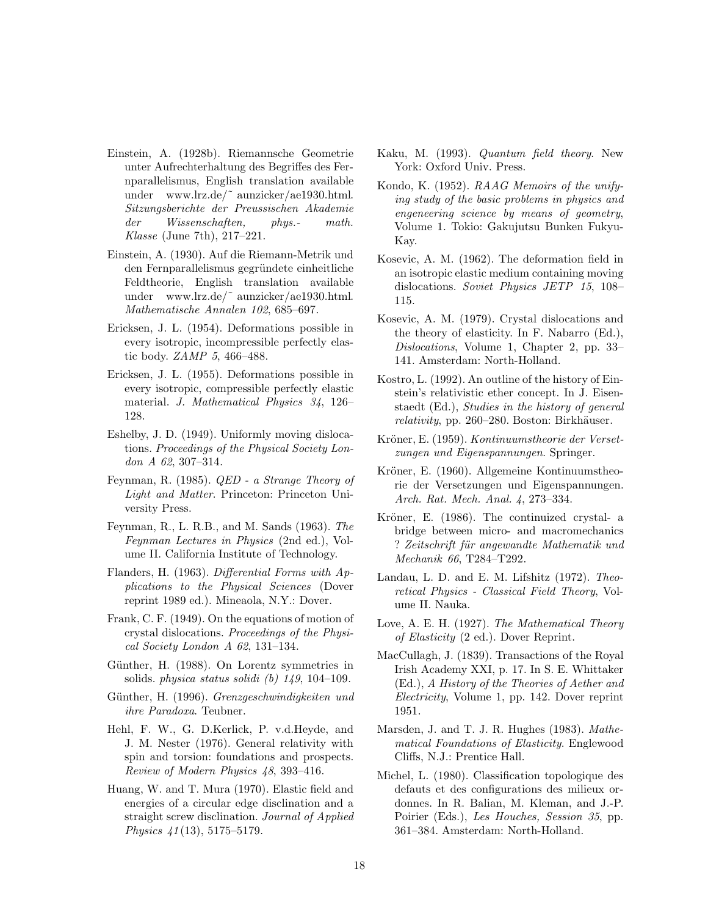- <span id="page-17-0"></span>Einstein, A. (1928b). Riemannsche Geometrie unter Aufrechterhaltung des Begriffes des Fernparallelismus, English translation available under www.lrz.de/˜ aunzicker/ae1930.html. *Sitzungsberichte der Preussischen Akademie der Wissenschaften, phys.- math. Klasse* (June 7th), 217–221.
- Einstein, A. (1930). Auf die Riemann-Metrik und den Fernparallelismus gegründete einheitliche Feldtheorie, English translation available under www.lrz.de/˜ aunzicker/ae1930.html. *Mathematische Annalen 102*, 685–697.
- Ericksen, J. L. (1954). Deformations possible in every isotropic, incompressible perfectly elastic body. *ZAMP 5*, 466–488.
- Ericksen, J. L. (1955). Deformations possible in every isotropic, compressible perfectly elastic material. *J. Mathematical Physics 34*, 126– 128.
- Eshelby, J. D. (1949). Uniformly moving dislocations. *Proceedings of the Physical Society London A 62*, 307–314.
- Feynman, R. (1985). *QED a Strange Theory of Light and Matter*. Princeton: Princeton University Press.
- Feynman, R., L. R.B., and M. Sands (1963). *The Feynman Lectures in Physics* (2nd ed.), Volume II. California Institute of Technology.
- Flanders, H. (1963). *Differential Forms with Applications to the Physical Sciences* (Dover reprint 1989 ed.). Mineaola, N.Y.: Dover.
- Frank, C. F. (1949). On the equations of motion of crystal dislocations. *Proceedings of the Physical Society London A 62*, 131–134.
- Günther, H. (1988). On Lorentz symmetries in solids. *physica status solidi (b) 149*, 104–109.
- Günther, H. (1996). *Grenzgeschwindigkeiten und ihre Paradoxa*. Teubner.
- Hehl, F. W., G. D.Kerlick, P. v.d.Heyde, and J. M. Nester (1976). General relativity with spin and torsion: foundations and prospects. *Review of Modern Physics 48*, 393–416.
- Huang, W. and T. Mura (1970). Elastic field and energies of a circular edge disclination and a straight screw disclination. *Journal of Applied Physics 41*(13), 5175–5179.
- Kaku, M. (1993). *Quantum field theory*. New York: Oxford Univ. Press.
- Kondo, K. (1952). *RAAG Memoirs of the unifying study of the basic problems in physics and engeneering science by means of geometry*, Volume 1. Tokio: Gakujutsu Bunken Fukyu-Kay.
- Kosevic, A. M. (1962). The deformation field in an isotropic elastic medium containing moving dislocations. *Soviet Physics JETP 15*, 108– 115.
- Kosevic, A. M. (1979). Crystal dislocations and the theory of elasticity. In F. Nabarro (Ed.), *Dislocations*, Volume 1, Chapter 2, pp. 33– 141. Amsterdam: North-Holland.
- Kostro, L. (1992). An outline of the history of Einstein's relativistic ether concept. In J. Eisenstaedt (Ed.), *Studies in the history of general*  $relativity$ , pp. 260–280. Boston: Birkhäuser.
- Kröner, E. (1959). *Kontinuumstheorie der Versetzungen und Eigenspannungen*. Springer.
- Kröner, E. (1960). Allgemeine Kontinuumstheorie der Versetzungen und Eigenspannungen. *Arch. Rat. Mech. Anal. 4*, 273–334.
- Kröner, E. (1986). The continuized crystal- a bridge between micro- and macromechanics ? *Zeitschrift f¨ur angewandte Mathematik und Mechanik 66*, T284–T292.
- Landau, L. D. and E. M. Lifshitz (1972). *Theoretical Physics - Classical Field Theory*, Volume II. Nauka.
- Love, A. E. H. (1927). *The Mathematical Theory of Elasticity* (2 ed.). Dover Reprint.
- MacCullagh, J. (1839). Transactions of the Royal Irish Academy XXI, p. 17. In S. E. Whittaker (Ed.), *A History of the Theories of Aether and Electricity*, Volume 1, pp. 142. Dover reprint 1951.
- Marsden, J. and T. J. R. Hughes (1983). *Mathematical Foundations of Elasticity*. Englewood Cliffs, N.J.: Prentice Hall.
- Michel, L. (1980). Classification topologique des defauts et des configurations des milieux ordonnes. In R. Balian, M. Kleman, and J.-P. Poirier (Eds.), *Les Houches, Session 35*, pp. 361–384. Amsterdam: North-Holland.